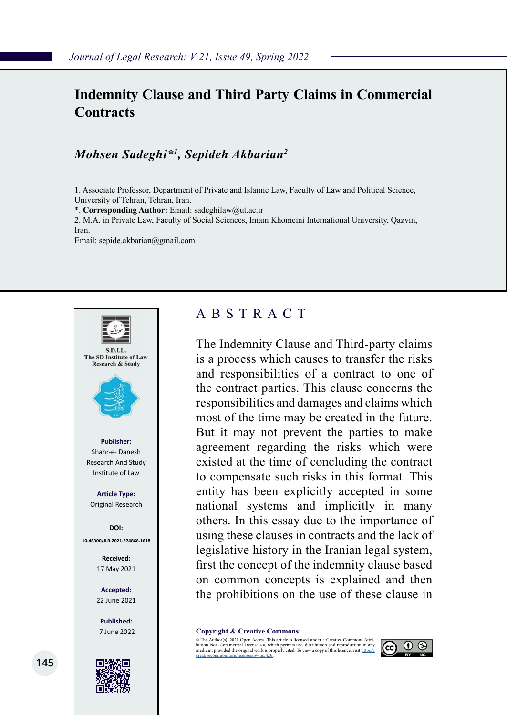# **Indemnity Clause and Third Party Claims in Commercial Contracts**

#### *Mohsen Sadeghi\*1 , Sepideh Akbarian2*

1. Associate Professor, Department of Private and Islamic Law, Faculty of Law and Political Science, University of Tehran, Tehran, Iran.

\*. **Corresponding Author:** Email: sadeghilaw@ut.ac.ir

2. M.A. in Private Law, Faculty of Social Sciences, Imam Khomeini International University, Qazvin, Iran.

Email: sepide.akbarian@gmail.com



### ABSTRACT

The Indemnity Clause and Third-party claims is a process which causes to transfer the risks and responsibilities of a contract to one of the contract parties. This clause concerns the responsibilities and damages and claims which most of the time may be created in the future. But it may not prevent the parties to make agreement regarding the risks which were existed at the time of concluding the contract to compensate such risks in this format. This entity has been explicitly accepted in some national systems and implicitly in many others. In this essay due to the importance of using these clauses in contracts and the lack of legislative history in the Iranian legal system, first the concept of the indemnity clause based on common concepts is explained and then the prohibitions on the use of these clause in

**Copyright & Creative Commons:**<br>© The Author(s). 2021 Open Access. This article is licensed under a Creative Commons Attri-

© The Author(s). 2021 Open Access. This article is licensed under a Creative Commons Attri- bution Non-Commercial License 4.0, which permits use, distribution and reproduction in any medium, provided the original work is properly cited. To view a copy of this licence, visit https://<br>creativecommons.org/licenses/by-nc/4.0/.

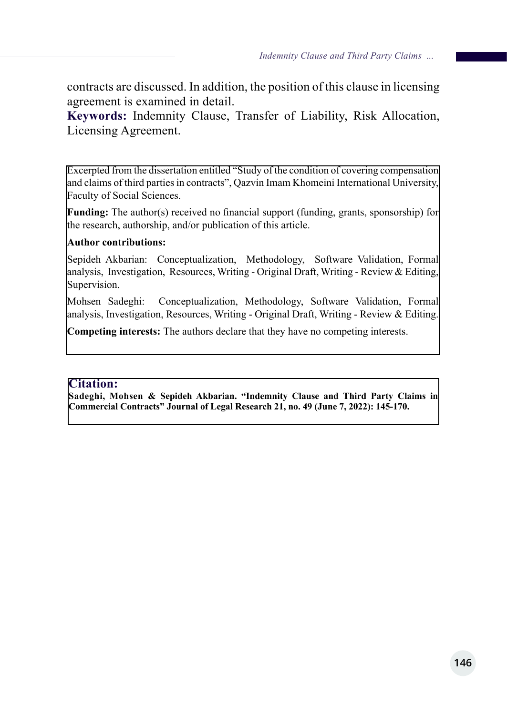contracts are discussed. In addition, the position of this clause in licensing agreement is examined in detail.

**Keywords:** Indemnity Clause, Transfer of Liability, Risk Allocation, Licensing Agreement.

Excerpted from the dissertation entitled "Study of the condition of covering compensation and claims of third parties in contracts", Qazvin Imam Khomeini International University, Faculty of Social Sciences.

**Funding:** The author(s) received no financial support (funding, grants, sponsorship) for the research, authorship, and/or publication of this article.

#### **Author contributions:**

Sepideh Akbarian: Conceptualization, Methodology, Software Validation, Formal analysis, Investigation, Resources, Writing - Original Draft, Writing - Review & Editing, Supervision.

Mohsen Sadeghi: Conceptualization, Methodology, Software Validation, Formal analysis, Investigation, Resources, Writing - Original Draft, Writing - Review & Editing.

**Competing interests:** The authors declare that they have no competing interests.

#### **Citation:**

**Sadeghi, Mohsen & Sepideh Akbarian. "Indemnity Clause and Third Party Claims in Commercial Contracts" Journal of Legal Research 21, no. 49 (June 7, 2022): 145-170.**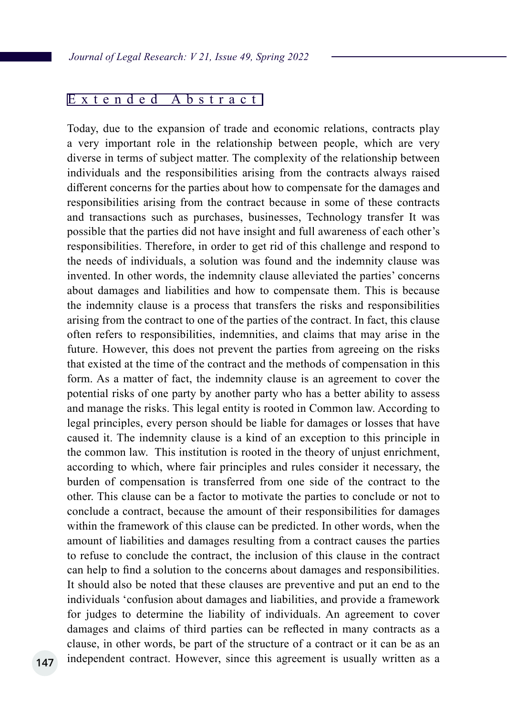#### Extended Abstract

Today, due to the expansion of trade and economic relations, contracts play a very important role in the relationship between people, which are very diverse in terms of subject matter. The complexity of the relationship between individuals and the responsibilities arising from the contracts always raised different concerns for the parties about how to compensate for the damages and responsibilities arising from the contract because in some of these contracts and transactions such as purchases, businesses, Technology transfer It was possible that the parties did not have insight and full awareness of each other's responsibilities. Therefore, in order to get rid of this challenge and respond to the needs of individuals, a solution was found and the indemnity clause was invented. In other words, the indemnity clause alleviated the parties' concerns about damages and liabilities and how to compensate them. This is because the indemnity clause is a process that transfers the risks and responsibilities arising from the contract to one of the parties of the contract. In fact, this clause often refers to responsibilities, indemnities, and claims that may arise in the future. However, this does not prevent the parties from agreeing on the risks that existed at the time of the contract and the methods of compensation in this form. As a matter of fact, the indemnity clause is an agreement to cover the potential risks of one party by another party who has a better ability to assess and manage the risks. This legal entity is rooted in Common law. According to legal principles, every person should be liable for damages or losses that have caused it. The indemnity clause is a kind of an exception to this principle in the common law. This institution is rooted in the theory of unjust enrichment, according to which, where fair principles and rules consider it necessary, the burden of compensation is transferred from one side of the contract to the other. This clause can be a factor to motivate the parties to conclude or not to conclude a contract, because the amount of their responsibilities for damages within the framework of this clause can be predicted. In other words, when the amount of liabilities and damages resulting from a contract causes the parties to refuse to conclude the contract, the inclusion of this clause in the contract can help to find a solution to the concerns about damages and responsibilities. It should also be noted that these clauses are preventive and put an end to the individuals 'confusion about damages and liabilities, and provide a framework for judges to determine the liability of individuals. An agreement to cover damages and claims of third parties can be reflected in many contracts as a clause, in other words, be part of the structure of a contract or it can be as an independent contract. However, since this agreement is usually written as a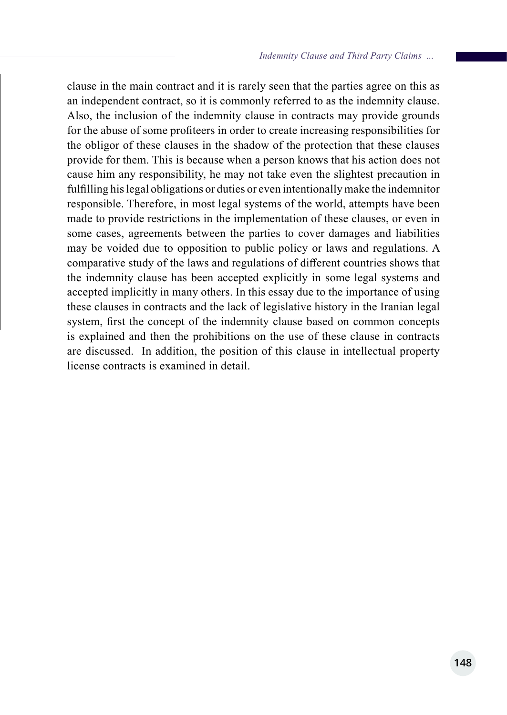clause in the main contract and it is rarely seen that the parties agree on this as an independent contract, so it is commonly referred to as the indemnity clause. Also, the inclusion of the indemnity clause in contracts may provide grounds for the abuse of some profiteers in order to create increasing responsibilities for the obligor of these clauses in the shadow of the protection that these clauses provide for them. This is because when a person knows that his action does not cause him any responsibility, he may not take even the slightest precaution in fulfilling his legal obligations or duties or even intentionally make the indemnitor responsible. Therefore, in most legal systems of the world, attempts have been made to provide restrictions in the implementation of these clauses, or even in some cases, agreements between the parties to cover damages and liabilities may be voided due to opposition to public policy or laws and regulations. A comparative study of the laws and regulations of different countries shows that the indemnity clause has been accepted explicitly in some legal systems and accepted implicitly in many others. In this essay due to the importance of using these clauses in contracts and the lack of legislative history in the Iranian legal system, first the concept of the indemnity clause based on common concepts is explained and then the prohibitions on the use of these clause in contracts are discussed. In addition, the position of this clause in intellectual property license contracts is examined in detail.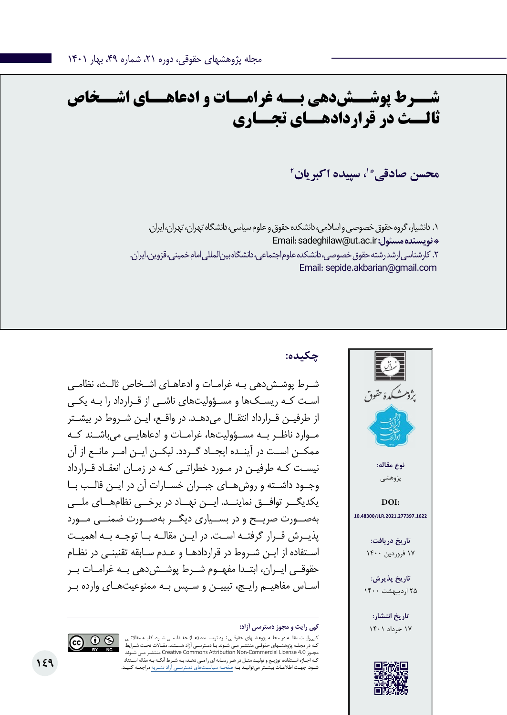# **شــرط پوشــشدهی بــه غرامــات و ادعاهــای اشــخاص ثالــث در قراردادهــای تجــاری**

**2 \*،1 سپیده اکبریان محسن صادقی**

.1 دانشیار، گروه حقوق خصوصی و اسالمی، دانشکده حقوق و علوم سیاسی، دانشگاه تهران، تهران، ایران. Email: sadeghilaw@ut.ac.ir **:مسئول نویسنده\***  .2 کارشناسی ارشد رشته حقوق خصوصی، دانشکده علوم اجتماعی، دانشگاه بینالمللی امام خمینی، قزوین، ایران. Email: sepide.akbarian@gmail.com

**چکیده:**

شـرط پوشـشدهی بـه غرامـات و ادعاهـای اشـخاص ثالـث، نظامـی اسـت کـه ریسـکها و مسـؤولیتهای ناشـی از قـرارداد را بـه یکـی از طرفیـن قـرارداد انتقـال میدهـد. در واقـع، ایـن شـروط در بیشـتر مــوارد ناظــر بــه مســؤولیتها، غرامــات و ادعاهایــی میباشــند کــه ممکــن اســت در آینــده ایجــاد گــردد. لیکــن ایــن امــر مانــع از آن نیسـت کـه طرفیـن در مـورد خطراتـی کـه در زمـان انعقـاد قـرارداد وجــود داشــته و روشهــای جبــران خســارات آن در ایــن قالــب بــا یکدیگــر توافــق نماینــد. ایــن نهــاد در برخــی نظامهــای ملــی بهصــورت صریــح و در بســیاری دیگــر بهصــورت ضمنــی مــورد پذیــرش قــرار گرفتــه اســت. در ایــن مقالــه بــا توجــه بــه اهمیــت اسـتفاده از ایـن شـروط در قراردادهـا و عـدم سـابقه تقنینـی در نظـام حقوقــی ایــران، ابتــدا مفهــوم شــرط پوشــشدهی بــه غرامــات بــر اسـاس مفاهیـم رایـج، تبییـن و سـپس بـه ممنوعیتهـای وارده بـر





کپیرایـت مقالـه در مجلـه پژوهشـهای حقوقـی نـزد نویسـنده )هـا( حفـظ مـی شـود. کلیـه مقاالتـی ـوند بـا دسترسـی آزاد هسـتند. مقـالات تحـت شـرایط شـوند مـی منتشـر Creative Commons Attribution Non-Commercial License 4.0 مجـوز کـه اجـازه اسـتفاده، توزیـع و تولیـد مثـل در هـر رسـانه ای را مـی دهـد، بـه شـرط آنکـه بـه مقاله اسـتناد شـود. جهـت اطالعـات بیشـتر میتوانیـد بـه صفحـه سیاسـتهای دسترسـی آزاد نشـریه مراجعـه کنیـد.

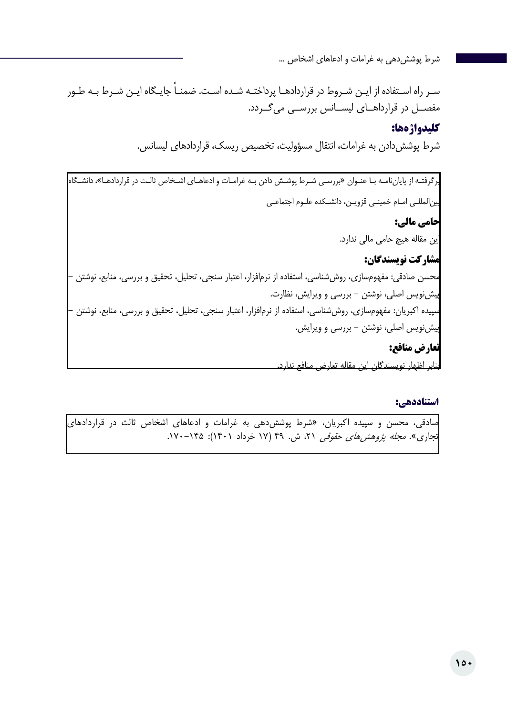ً سـر راه اسـتفاده از ایـن شـروط در قراردادهـا پرداختـه شـده اسـت. ضمنـا جایـگاه ایـن شـرط بـه طـور مفصــل در قرارداهــای لیســانس بررســی میگــردد.

#### **کلیدواژهها:**

شرط پوششدادن به غرامات، انتقال مسؤولیت، تخصیص ریسک، قراردادهای لیسانس.

برگرفتـه از پایاننامـه بـا عنـوان »بررسـی شـرط پوشـش دادن بـه غرامـات و ادعاهـای اشـخاص ثالـث در قراردادهـا«، دانشـگاه بینالمللـی امـام خمینـی قزویـن، دانشـکده علـوم اجتماعـی **حامی مالی:**  این مقاله هیچ حامی مالی ندارد. **مشارکت نویسندگان:**  محسن صادقی: مفهومسازی، روششناسی، استفاده از نرمافزار، اعتبار سنجی، تحلیل، تحقیق و بررسی، منابع، نوشتن - پیشنویس اصلی، نوشتن - بررسی و ویرایش، نظارت. سپیده اکبریان: مفهومسازی، روششناسی، استفاده از نرمافزار، اعتبار سنجی، تحلیل، تحقیق و بررسی، منابع، نوشتن - پیشنویس اصلی، نوشتن - بررسی و ویرایش. **تعارض منافع:**  بنابر اظهار نویسندگان این مقاله تعارض منافع ندارد.

#### **استناددهی:**

صادقی، محسن و سپیده اکبریان، »شرط پوششدهی به غرامات و ادعاهای اشخاص ثالث در قراردادهای تجاری». *مجله پژوهشهای حقوقی ۲*۱، ش. ۴۹ (۱۷ خرداد ۱۴۰۱): ۱۲۵–۱۷۰.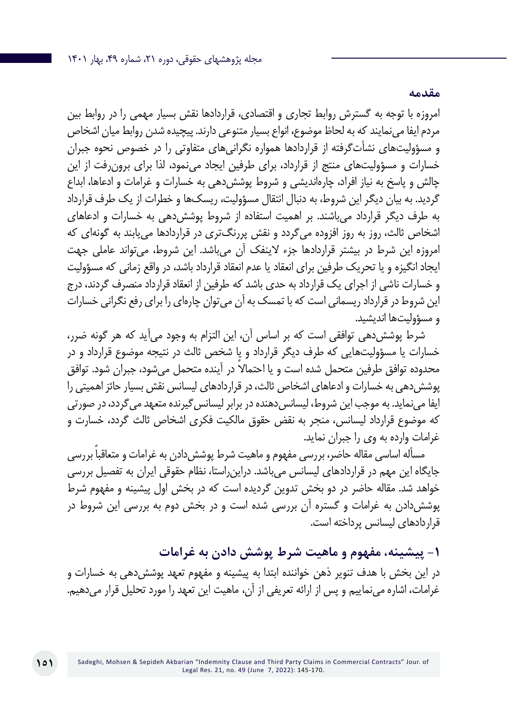امروزه با توجه به گسترش روابط تجاری و اقتصادی، قراردادها نقش بسیار مهمی را در روابط بین مردم ایفا مینمایند که به لحاظ موضوع، انواع بسیار متنوعی دارند. پیچیده شدن روابط میان اشخاص و مسؤولیتهای نشأتگرفته از قراردادها همواره نگرانیهای متفاوتی را در خصوص نحوه جبران خسارات و مسؤولیتهای منتج از قرارداد، برای طرفین ایجاد مینمود، لذا برای برونرفت از این چالش و پاسخ به نیاز افراد، چارهاندیشی و شروط پوششدهی به خسارات و غرامات و ادعاها، ابداع گردید. به بیان دیگر این شروط، به دنبال انتقال مسؤولیت، ریسکها و خطرات از یک طرف قرارداد به طرف دیگر قرارداد میباشند. بر اهمیت استفاده از شروط پوششدهی به خسارات و ادعاهای اشخاص ثالث، روز به روز افزوده میگردد و نقش پررنگتری در قراردادها مییابند به گونهای که امروزه این شرط در بیشتر قراردادها جزء الینفک آن میباشد. این شروط، میتواند عاملی جهت ایجاد انگیزه و یا تحریک طرفین برای انعقاد یا عدم انعقاد قرارداد باشد، در واقع زمانی که مسؤولیت و خسارات ناشی از اجرای یک قرارداد به حدی باشد که طرفین از انعقاد قرارداد منصرف گردند، درج این شروط در قرارداد ریسمانی است که با تمسک به آن میتوان چارهای را برای رفع نگرانی خسارات و مسؤولیتها اندیشید.

شرط پوششدهی توافقی است که بر اساس آن، این التزام به وجود میآید که هر گونه ضرر، خسارات یا مسؤولیتهایی که طرف دیگر قرارداد و یا شخص ثالث در نتیجه موضوع قرارداد و در محدوده توافق طرفین متحمل شده است و یا احتمالا در آینده متحمل می شود، جبران شود. توافق پوششدهی به خسارات و ادعاهای اشخاص ثالث، در قراردادهای لیسانس نقش بسیار حائز اهمیتی را ایفا می نماید. به موجب این شروط، لیسانس دهنده در برابر لیسانس گیرنده متعهد می گردد، در صورتی که موضوع قرارداد لیسانس، منجر به نقض حقوق مالکیت فکری اشخاص ثالث گردد، خسارت و غرامات وارده به وی را جبران نماید.

مسأله اساسی مقاله حاضر، بررسی مفهوم و ماهیت شرط پوشش دادن به غرامات و متعاقباً بررسی جایگاه این مهم در قراردادهای لیسانس میباشد. دراینراستا، نظام حقوقی ایران به تفصیل بررسی خواهد شد. مقاله حاضر در دو بخش تدوین گردیده است که در بخش اول پیشینه و مفهوم شرط پوششدادن به غرامات و گستره آن بررسی شده است و در بخش دوم به بررسی این شروط در قراردادهای لیسانس پرداخته است.

**-1 پیشینه، مفهوم و ماهیت شرط پوشش دادن به غرامات**

در اين بخش با هدف تنوير ذهن خواننده ابتدا به پيشينه و مفهوم تعهد پوششدهی به خسارات و غرامات، اشاره مينماييم و پس از ارائه تعريفي از آن، ماهيت این تعهد را مورد تحليل قرار میدهیم.

**مقدمه**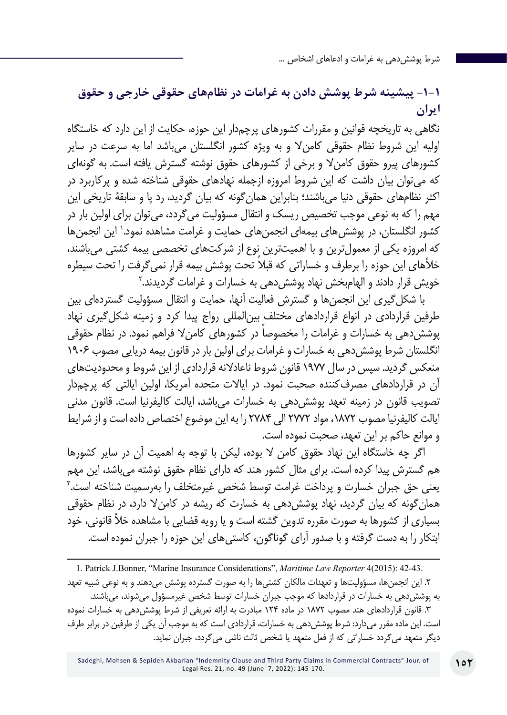### **-1-1 پیشینه شرط پوشش دادن به غرامات در نظامهای حقوقی خارجی و حقوق ایران**

نگاهی به تاریخچه قوانین و مقررات کشورهای پرچمدار این حوزه، حکایت از این دارد که خاستگاه اولیه این شروط نظام حقوقی کامنال و به ویژه کشور انگلستان میباشد اما به سرعت در سایر کشورهای پیرو حقوق کامنال و برخی از کشورهاي حقوق نوشته گسترش یافته است. به گونهای که میتوان بیان داشت که این شروط امروزه ازجمله نهادهاي حقوقی شناخته شده و پرکاربرد در اکثر نظامهاي حقوقی دنیا میباشند؛ بنابراین همانگونه که بیان گردید، رد پا و سابقۀ تاریخی این مهم را که به نوعی موجب تخصیص ریسک و انتقال مسؤولیت میگردد، میتوان برای اولین بار در کشور انگلستان، در پوششهای بیمهای انجمنهای حمایت و غرامت مشاهده نمود.' این انجمنها که امروزه یکی از معمولترین و با اهمیتترین نوع از شرکتهای تخصصی بیمه کشتی میباشند، خلأهای این حوزه را برطرف و خساراتی که قبلا تحت پوشش بیمه قرار نمی گرفت را تحت سیطره خویش قرار دادند و الهامٖبخش نهاد پوششدهی به خسارات و غرامات گردیدند.<sup>۲</sup>

با شکلگیری این انجمنها و گسترش فعالیت آنها، حمایت و انتقال مسؤولیت گستردهای بین طرفین قراردادی در انواع قراردادهای مختلف بینالمللی رواج پیدا کرد و زمینه شکلگیری نهاد پوشش دهی به خسارات و غرامات را مخصوصا در کشورهای کامن لا فراهم نمود. در نظام حقوقی انگلستان شرط پوششدهی به خسارات و غرامات برای اولین بار در قانون بیمه دریایی مصوب 1906 منعکس گردید. سپس در سال 1977 قانون شروط ناعادالنه قراردادی از این شروط و محدودیتهای آن در قراردادهای مصرفکننده صحبت نمود. در ایاالت متحده آمریکا، اولین ایالتی که پرچمدار تصویب قانون در زمینه تعهد پوششدهی به خسارات میباشد، ایالت کالیفرنیا است. قانون مدنی ایالت کالیفرنیا مصوب ،1872 مواد 2772 الی 2784 را به این موضوع اختصاص داده است و از شرایط و موانع حاکم بر این تعهد، صحبت نموده است.

اگر چه خاستگاه این نهاد حقوق کامن ال بوده، لیکن با توجه به اهمیت آن در سایر کشورها هم گسترش پیدا کرده است. برای مثال کشور هند که دارای نظام حقوق نوشته میباشد، این مهم 3 یعنی حق جبران خسارت و پرداخت غرامت توسط شخص غیرمتخلف را بهرسمیت شناخته است. همانگونه که بیان گردید، نهاد پوششدهی به خسارت که ریشه در کامنال دارد، در نظام حقوقی بسیاری از کشورها به صورت مقرره تدوین گشته است و یا رویه قضایی با مشاهده خأل قانونی، خود ابتکار را به دست گرفته و با صدور آرای گوناگون، کاستیهای این حوزه را جبران نموده است.

1. Patrick J.Bonner, "Marine Insurance Considerations", *Maritime Law Reporter* 4(2015): 42-43. .2 این انجمنها، مسؤولیتها و تعهدات مالکان کشتیها را به صورت گسترده پوشش میدهند و به نوعی شبیه تعهد به پوششدهی به خسارات در قراردادها که موجب جبران خسارات توسط شخص غیرمسؤول میشوند، میباشند. .3 قانون قراردادهای هند مصوب 1872 در ماده 124 مبادرت به ارائه تعریفی از شرط پوششدهی به خسارات نموده است. این ماده مقرر میدارد: شرط پوششدهی به خسارات، قراردادی است که به موجب آن یکی از طرفین در برابر طرف دیگر متعهد میگردد خساراتی که از فعل متعهد یا شخص ثالث ناشی میگردد، جبران نماید.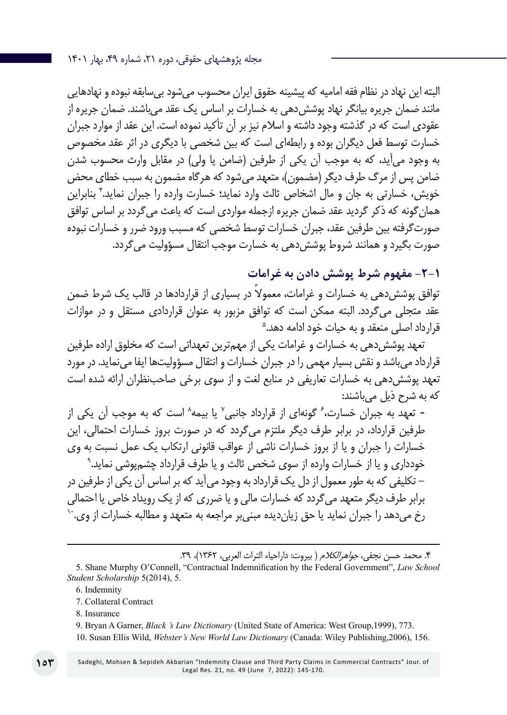مجله پژوهشهای حقوقی، دوره ،21 شماره ،49 بهار 1401

البته این نهاد در نظام فقه امامیه که پیشینه حقوق ایران محسوب میشود بیسابقه نبوده و نهادهایی مانند ضمان جریره بیانگر نهاد پوششدهی به خسارات بر اساس یک عقد میباشند. ضمان جریره از عقودی است که در گذشته وجود داشته و اسالم نیز بر آن تأکید نموده است. این عقد از موارد جبران خسارت توسط فعل دیگران بوده و رابطهای است که بین شخصی با دیگری در اثر عقد مخصوص به وجود می آید، كه به موجب آن یكی از طرفین (ضامن یا ولی) در مقابل وارث محسوب شدن ضامن پس از مرگ طرف دیگر (مضمون)، متعهد می شود که هرگاه مضمون به سبب خطای محض خویش، خسارتی به جان و مال اشخاص ثالث وارد نماید؛ خسارت وارده را جبران نماید.۴ بنابراین همانگونه که ذکر گردید عقد ضمان جریره ازجمله مواردی است که باعث میگردد بر اساس توافق صورتگرفته بین طرفین عقد، جبران خسارات توسط شخصی که مسبب ورود ضرر و خسارات نبوده صورت بگیرد و همانند شروط پوششدهی به خسارت موجب انتقال مسؤولیت میگردد.

**-۲-۱ مفهوم شرط پوشش دادن به غرامات**

توافق پوشش دهی به خسارات و غرامات، معمولاً در بسیاری از قراردادها در قالب یک شرط ضمن 5 عقد متجلی میگردد. البته ممکن است که توافق مزبور به عنوان قراردادی مستقل و در موازات قرارداد اصلی منعقد و به حیات خود ادامه دهد.

تعهد پوششدهی به خسارات و غرامات یکی از مهمترین تعهداتی است که مخلوق اراده طرفین قرارداد میباشد و نقش بسیار مهمی را در جبران خسارات و انتقال مسؤولیتها ایفا مینماید. در مورد تعهد پوششدهی به خسارات تعاریفی در منابع لغت و از سوی برخی صاحبنظران ارائه شده است که به شرح ذیل میباشند:

- تعهد به جبران خسارت، گونهای از قرارداد جانبی ٌ یا بیمه ُ است که به موجب آن یکی از طرفین قرارداد، در برابر طرف دیگر ملتزم میگردد که در صورت بروز خسارات احتمالی، این 9 خسارات را جبران و یا از بروز خسارات ناشی از عواقب قانونی ارتکاب یک عمل نسبت به وی خودداری و یا از خسارات وارده از سوی شخص ثالث و یا طرف قرارداد چشمپوشی نماید. - تکلیفی که به طور معمول از دل یک قرارداد به وجود میآید که بر اساس آن یکی از طرفین در برابر طرف دیگر متعهد می گردد که خسارات مالی و یا ضرری که از یک رویداد خاص یا احتمالی<br>رخ میدهد را جبران نماید یا حق زیاندیده مبنی بر مراجعه به متعهد و مطالبه خسارات از وی. ``

۴. محمد حسن نجفی، *جواهرالکلام* ( بیروت: داراحیاء التراث العربی، ۱۳۶۲)، ۳۹.

- 6. Indemnity
- 7. Collateral Contract
- 8. Insurance
- 9. Bryan A Garner, *Black 's Law Dictionary* (United State of America: West Group,1999), 773.
- 10. Susan Ellis Wild, *Webster's New World Law Dictionary* (Canada: Wiley Publishing,2006), 156.

<sup>5</sup>. Shane Murphy O'Connell, "Contractual Indemnification by the Federal Government", *Law School Student Scholarship* 5(2014), 5.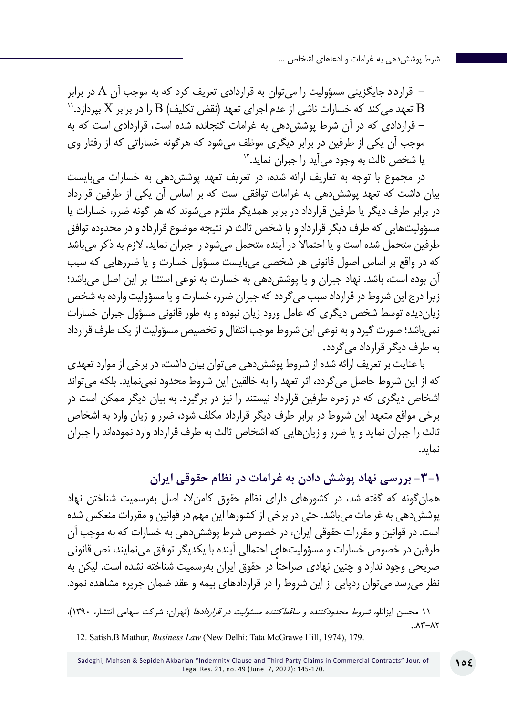– قرارداد جایگزینی مسؤولیت را میتوان به قراردادی تعریف کرد که به موجب آن A در برابر<br>B تعهد می کند که خسارات ناشی از عدم اجرای تعهد (نقض تکلیف) B را در برابر X بپردازد.'' - قراردادی که در آن شرط پوششدهی به غرامات گنجانده شده است، قراردادی است که به موجب آن یکی از طرفین در برابر دیگری موظف میشود که هرگونه خساراتی که از رفتار وی یا شخص ثالث به وجود می آید را جبران نماید.<sup>۱۲</sup>

در مجموع با توجه به تعاریف ارائه شده، در تعریف تعهد پوششدهی به خسارات میبایست بیان داشت که تعهد پوششدهی به غرامات توافقی است که بر اساس آن یکی از طرفین قرارداد در برابر طرف دیگر یا طرفین قرارداد در برابر همدیگر ملتزم میشوند که هر گونه ضرر، خسارات یا مسؤولیتهایی که طرف دیگر قرارداد و یا شخص ثالث در نتیجه موضوع قرارداد و در محدوده توافق طرفین متحمل شده است و یا احتمالاً در آینده متحمل میشود را جبران نماید. لازم به ذکر میباشد که در واقع بر اساس اصول قانونی هر شخصی میبایست مسؤول خسارت و یا ضررهایی که سبب آن بوده است، باشد. نهاد جبران و یا پوششدهی به خسارت به نوعی استثنا بر این اصل میباشد؛ زیرا درج این شروط در قرارداد سبب میگردد که جبران ضرر، خسارت و یا مسؤولیت وارده به شخص زیاندیده توسط شخص دیگری که عامل ورود زیان نبوده و به طور قانونی مسؤول جبران خسارات نمیباشد؛ صورت گیرد و به نوعی این شروط موجب انتقال و تخصیص مسؤولیت از یک طرف قرارداد به طرف دیگر قرارداد میگردد.

با عنایت بر تعریف ارائه شده از شروط پوششدهی میتوان بیان داشت، در برخی از موارد تعهدی که از این شروط حاصل میگردد، اثر تعهد را به خالقین این شروط محدود نمینماید. بلکه میتواند اشخاص دیگری که در زمره طرفین قرارداد نیستند را نیز در برگیرد. به بیان دیگر ممکن است در برخی مواقع متعهد این شروط در برابر طرف دیگر قرارداد مکلف شود، ضرر و زیان وارد به اشخاص ثالث را جبران نماید و یا ضرر و زیانهایی که اشخاص ثالث به طرف قرارداد وارد نمودهاند را جبران نماید.

**-3-1 بررسی نهاد پوشش دادن به غرامات در نظام حقوقی ایران** همانگونه که گفته شد، در کشورهای دارای نظام حقوق کامنال، اصل بهرسمیت شناختن نهاد پوششدهی به غرامات میباشد. حتی در برخی از کشورها این مهم در قوانین و مقررات منعکس شده است. در قوانین و مقررات حقوقی ایران، در خصوص شرط پوششدهی به خسارات که به موجب آن طرفین در خصوص خسارات و مسؤولیتهای احتمالی آینده با یکدیگر توافق مینمایند، نص قانونی ً صریحی وجود ندارد و چنین نهادی صراحتا در حقوق ایران بهرسمیت شناخته نشده است. لیکن به نظر میرسد میتوان ردپایی از این شروط را در قراردادهای بیمه و عقد ضمان جریره مشاهده نمود.

۱۱ محسن ایزانلو*، شروط محدودکننده و ساقطکننده مسئولیت در قراردادها* (تهران: شرکت سهامی انتشار، ۱۳۹۰)،  $. \lambda^* - \lambda^*$ 

<sup>12.</sup> Satish.B Mathur, *Business Law* (New Delhi: Tata McGrawe Hill, 1974), 179.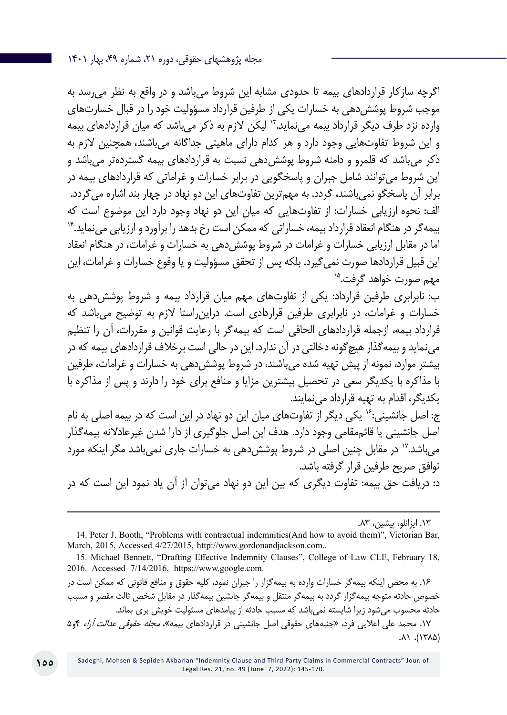اگرچه سازکار قراردادهاي بیمه تا حدودي مشابه این شروط میباشد و در واقع به نظر میرسد به موجب شروط پوششدهی به خسارات یکی از طرفین قرارداد مسؤولیت خود را در قبال خسارتهاي وارده نزد طرف دیگر قرارداد بیمه می نماید."' لیکن لازم به ذکر میباشد که میان قراردادهاي بیمه و این شروط تفاوتهایی وجود دارد و هر کدام داراي ماهیتی جداگانه میباشند، همچنین الزم به ذکر می باشد که قلمرو و دامنه شروط پوشش دهی نسبت به قراردادهای بیمه گستردهتر می باشد و این شروط میتوانند شامل جبران و پاسخگویی در برابر خسارات و غراماتی که قراردادهای بیمه در برابر آن پاسخگو نمیباشند، گردد. به مهمترین تفاوتهای این دو نهاد در چهار بند اشاره میگردد. الف: نحوه ارزیابی خسارات: از تفاوتهایی که میان این دو نهاد وجود دارد این موضوع است که بیمهگر در هنگام انعقاد قرارداد بیمه، خساراتی که ممکن است رخ بدهد را برآورد و ارزیابی مینماید14. اما در مقابل ارزیابی خسارات و غرامات در شروط پوششدهی به خسارات و غرامات، در هنگام انعقاد این قبیل قراردادها صورت نمیگیرد. بلکه پس از تحقق مسؤولیت و یا وقوع خسارات و غرامات، این مهم صورت خواهد گرفت.<sup>۱۵</sup>

ب: نابرابری طرفین قرارداد: یکی از تفاوتهای مهم میان قرارداد بیمه و شروط پوششدهی به خسارات و غرامات، در نابرابری طرفین قراردادی است. دراینراستا الزم به توضیح میباشد که قرارداد بیمه، ازجمله قراردادهای الحاقی است که بیمهگر با رعایت قوانین و مقررات، آن را تنظیم مینماید و بیمهگذار هیچگونه دخالتی در آن ندارد. این در حالی است برخالف قراردادهای بیمه که در بیشتر موارد، نمونه از پیش تهیه شده میباشند، در شروط پوششدهی به خسارات و غرامات، طرفین با مذاکره با یکدیگر سعی در تحصیل بیشترین مزایا و منافع برای خود را دارند و پس از مذاکره با یکدیگر، اقدام به تهیه قرارداد مینمایند.

ج: اصل جانشینی:<sup>۱۶</sup> یکی دیگر از تفاوتهای میان این دو نهاد در این است که در بیمه اصلی به نام اصل جانشینی یا قائممقامی وجود دارد. هدف این اصل جلوگیری از دارا شدن غیرعادالنه بیمهگذار میباشد.<sup>۱۷</sup> در مقابل چنین اصلی در شروط پوشش دهی به خسارات جاری نمی باشد مگر اینکه مورد توافق صریح طرفین قرار گرفته باشد.

د: دریافت حق بیمه: تفاوت دیگری که بین این دو نهاد میتوان از آن یاد نمود این است که در

.13 ایزانلو، پیشین، .۸۳

.16 به محض اینکه بیمهگر خسارات وارده به بیمهگزار را جبران نمود، کلیه حقوق و منافع قانونی که ممکن است در خصوص حادثه متوجه بیمهگزار گردد به بیمهگر منتقل و بیمهگر جانشین بیمهگذار در مقابل شخص ثالث مقصر و مسبب حادثه محسوب می شود زیرا شایسته نمی باشد که مسبب حادثه از پیامدهای مسئولیت خویش بری بماند. .17 محمد علی اعالیی فرد، »جنبههای حقوقی اصل جانشینی در قراردادهای بیمه«، مجله حقوقی عدالت آراء ۴و۵ .۸۱ ،)۱۳۸۵(

<sup>14</sup>. Peter J. Booth, "Problems with contractual indemnities(And how to avoid them)", Victorian Bar, March, 2015, Accessed 4/27/2015, http://www.gordonandjackson.com..

<sup>15</sup>. Michael Bennett, "Drafting Effective Indemnity Clauses", College of Law CLE, February 18, 2016. Accessed 7/14/2016, https://www.google.com.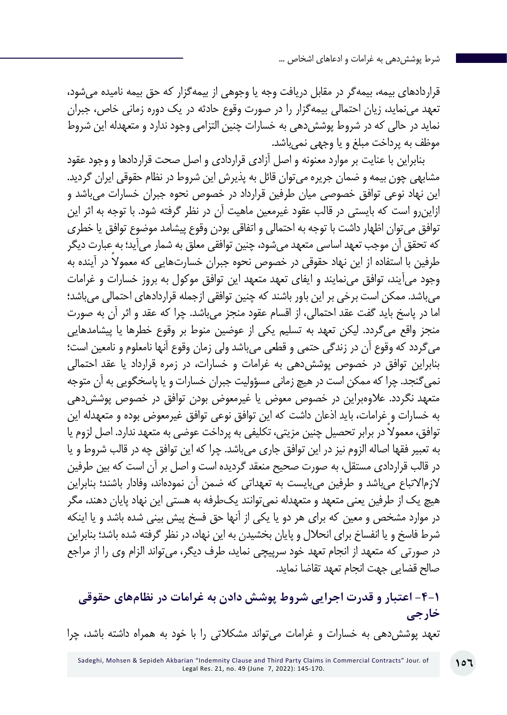قراردادهای بیمه، بیمهگر در مقابل دریافت وجه یا وجوهی از بیمهگزار که حق بیمه نامیده میشود، تعهد مینماید، زیان احتمالی بیمهگزار را در صورت وقوع حادثه در یک دوره زمانی خاص، جبران نماید در حالی که در شروط پوششدهی به خسارات چنین التزامی وجود ندارد و متعهدله این شروط موظف به پرداخت مبلغ و یا وجهی نمیباشد.

بنابراین با عنایت بر موارد معنونه و اصل آزادی قراردادی و اصل صحت قراردادها و وجود عقود مشابهی چون بیمه و ضمان جریره میتوان قائل به پذیرش این شروط در نظام حقوقی ایران گردید. این نهاد نوعی توافق خصوصی میان طرفین قرارداد در خصوص نحوه جبران خسارات میباشد و ازاینرو است که بایستی در قالب عقود غیرمعین ماهیت آن در نظر گرفته شود. با توجه به اثر این توافق میتوان اظهار داشت با توجه به احتمالى و اتفاقى بودن وقوع پيشامد موضوع توافق يا خطرى که تحقق آن موجب تعهد اساسى متعهد مىشود، چنین توافقی معلق به شمار میآید؛ به عبارت دیگر طرفین با استفاده از این نهاد حقوقی در خصوص نحوه جبران خسارتهایی که معمولا در آینده به وجود میآیند، توافق مینمایند و ایفای تعهد متعهد این توافق موکول به بروز خسارات و غرامات میباشد. ممکن است برخی بر این باور باشند که چنین توافقی ازجمله قراردادهای احتمالی میباشد؛ اما در پاسخ باید گفت عقد احتمالی، از اقسام عقود منجز میباشد. چرا که عقد و اثر آن به صورت منجز واقع میگردد. لیکن تعهد به تسلیم یکی از عوضین منوط بر وقوع خطرها يا پيشامدهایی میگردد که وقوع آن در زندگى حتمى و قطعى میباشد ولى زمان وقوع آنها نامعلوم و نامعين است؛ بنابراین توافق در خصوص پوششدهی به غرامات و خسارات، در زمره قرارداد یا عقد احتمالی نمیگنجد. چرا که ممکن است در هیچ زمانی مسؤولیت جبران خسارات و یا پاسخگویی به آن متوجه متعهد نگردد. عالوهبراین در خصوص معوض یا غیرمعوض بودن توافق در خصوص پوششدهی به خسارات و غرامات، باید اذعان داشت که این توافق نوعی توافق غیرمعوض بوده و متعهدله این ً توافق، معموال در برابر تحصیل چنین مزیتی، تکلیفی به پرداخت عوضی به متعهد ندارد. اصل لزوم یا به تعبیر فقها اصاله الزوم نیز در این توافق جاری میباشد. چرا که این توافق چه در قالب شروط و یا در قالب قراردادی مستقل، به صورت صحیح منعقد گردیده است و اصل بر آن است که بین طرفین الزماالتباع میباشد و طرفین میبایست به تعهداتی که ضمن آن نمودهاند، وفادار باشند؛ بنابراین هیچ یک از طرفین یعنی متعهد و متعهدله نمیتوانند یکطرفه به هستی این نهاد پایان دهند، مگر در موارد مشخص و معین که برای هر دو یا یکی از آنها حق فسخ پیش بینی شده باشد و یا اینکه شرط فاسخ و یا انفساخ برای انحالل و پایان بخشیدن به این نهاد، در نظر گرفته شده باشد؛ بنابراین در صورتی که متعهد از انجام تعهد خود سرپیچی نماید، طرف دیگر، میتواند الزام وی را از مراجع صالح قضایی جهت انجام تعهد تقاضا نماید.

**-4-1 اعتبار و قدرت اجرایی شروط پوشش دادن به غرامات در نظامهای حقوقی خارجی** تعهد پوششدهی به خسارات و غرامات میتواند مشکالتی را با خود به همراه داشته باشد، چرا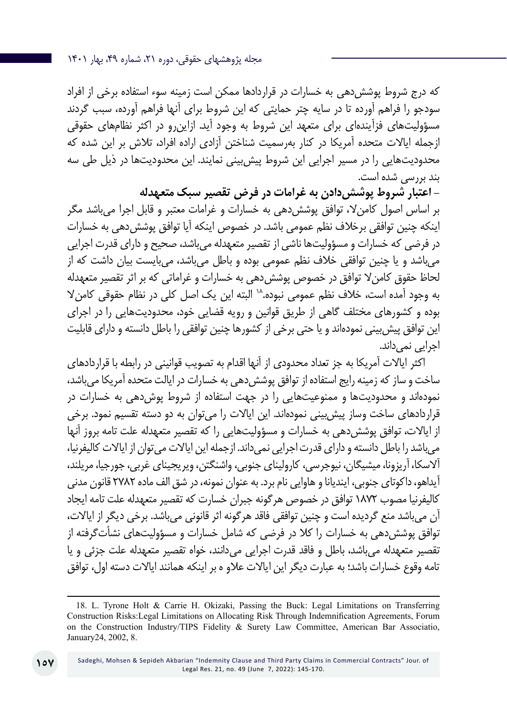که درج شروط پوششدهی به خسارات در قراردادها ممکن است زمینه سوء استفاده برخی از افراد سودجو را فراهم آورده تا در سایه چتر حمایتی که این شروط برای آنها فراهم آورده، سبب گردند مسؤولیتهای فزآیندهای برای متعهد این شروط به وجود آید. ازاینرو در اکثر نظامهای حقوقی ازجمله ایاالت متحده آمریکا در کنار بهرسمیت شناختن آزادی اراده افراد، تالش بر این شده که محدودیتهایی را در مسیر اجرایی این شروط پیشبینی نمایند. این محدودیتها در ذیل طی سه بند بررسی شده است.

**- اعتبار شروط پوششدادن به غرامات در فرض تقصیر سبک متعهدله** بر اساس اصول کامنال، توافق پوششدهی به خسارات و غرامات معتبر و قابل اجرا میباشد مگر اینکه چنین توافقی برخالف نظم عمومی باشد. در خصوص اینکه آیا توافق پوششدهی به خسارات در فرضی که خسارات و مسؤولیتها ناشی از تقصیر متعهدله میباشد، صحیح و دارای قدرت اجرایی میباشد و یا چنین توافقی خالف نظم عمومی بوده و باطل میباشد، میبایست بیان داشت که از لحاظ حقوق کامنال توافق در خصوص پوششدهی به خسارات و غراماتی که بر اثر تقصیر متعهدله به وجود آمده است، خلاف نظم عمومی نبوده. ۱۸ البته این یک اصل کلی در نظام حقوقی کامن لا بوده و کشورهای مختلف گاهی از طریق قوانین و رویه قضایی خود، محدودیتهایی را در اجرای این توافق پیشبینی نمودهاند و یا حتی برخی از کشورها چنین توافقی را باطل دانسته و دارای قابلیت اجرایی نمی داند.

اکثر ایاالت آمریکا به جز تعداد محدودی از آنها اقدام به تصویب قوانینی در رابطه با قراردادهای ساخت و ساز که زمینه رایج استفاده از توافق پوششدهی به خسارات در ایالت متحده آمریکا میباشد، نمودهاند و محدودیتها و ممنوعیتهایی را در جهت استفاده از شروط پوشدهی به خسارات در قراردادهای ساخت وساز پیشبینی نمودهاند. این ایاالت را میتوان به دو دسته تقسیم نمود. برخی از ایاالت، توافق پوششدهی به خسارات و مسؤولیتهایی را که تقصیر متعهدله علت تامه بروز آنها میباشد را باطل دانسته و دارای قدرت اجرایی نمیداند. ازجمله این ایاالت میتوان از ایاالت کالیفرنیا، آالسکا، آریزونا، میشیگان، نیوجرسی، کارولینای جنوبی، واشنگتن، ویریجینای غربی، جورجیا، مریلند، آیداهو، داکوتای جنوبی، ایندیانا و هاوایی نام برد. به عنوان نمونه، در شق الف ماده 2782 قانون مدنی کالیفرنیا مصوب 187۲ توافق در خصوص هرگونه جبران خسارت که تقصیر متعهدله علت تامه ایجاد آن میباشد منع گردیده است و چنین توافقی فاقد هرگونه اثر قانونی میباشد. برخی دیگر از ایاالت، توافق پوشش دهی به خسارات را کلا در فرضی که شامل خسارات و مسؤولیتهای نشأتگرفته از تقصیر متعهدله میباشد، باطل و فاقد قدرت اجرایی میدانند، خواه تقصیر متعهدله علت جزئی و یا تامه وقوع خسارات باشد؛ به عبارت دیگر این ایاالت عالو ه بر اینکه همانند ایاالت دسته اول، توافق

<sup>18.</sup> L. Tyrone Holt & Carrie H. Okizaki, Passing the Buck: Legal Limitations on Transferring Construction Risks:Legal Limitations on Allocating Risk Through Indemnification Agreements, Forum on the Construction Industry/TIPS Fidelity & Surety Law Committee, American Bar Associatio, January24, 2002, 8.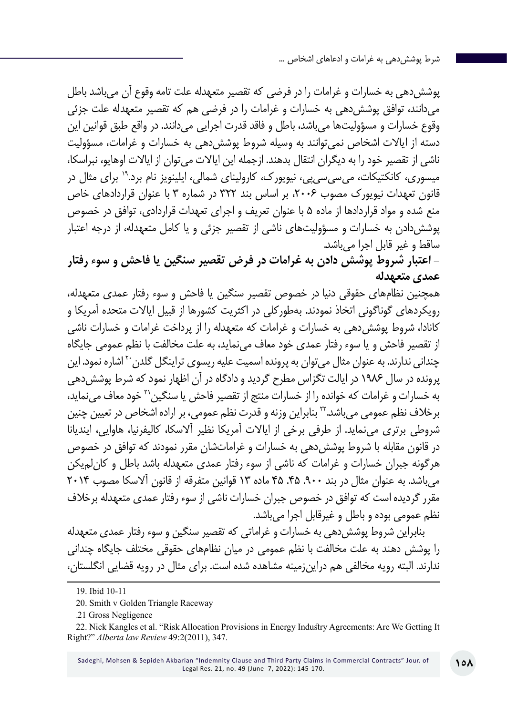پوششدهی به خسارات و غرامات را در فرضی که تقصیر متعهدله علت تامه وقوع آن میباشد باطل میدانند، توافق پوششدهی به خسارات و غرامات را در فرضی هم که تقصیر متعهدله علت جزئی وقوع خسارات و مسؤولیتها میباشد، باطل و فاقد قدرت اجرایی میدانند. در واقع طبق قوانین این دسته از ایاالت اشخاص نمیتوانند به وسیله شروط پوششدهی به خسارات و غرامات، مسؤولیت ناشی از تقصیر خود را به دیگران انتقال بدهند. ازجمله این ایاالت میتوان از ایاالت اوهایو، نبراسکا، میسوری، کانکتیکات، میسیسیپی، نیویورک، کارولینای شمالی، ایلینویز نام برد19. برای مثال در قانون تعهدات نیویورک مصوب ۲۰۰۶، بر اساس بند ۳۲۲ در شماره ۳ با عنوان قراردادهای خاص منع شده و مواد قراردادها از ماده 5 با عنوان تعریف و اجرای تعهدات قراردادی، توافق در خصوص پوششدادن به خسارات و مسؤولیتهای ناشی از تقصیر جزئی و یا کامل متعهدله، از درجه اعتبار ساقط و غیر قابل اجرا میباشد.

**- اعتبار شروط پوشش دادن به غرامات در فرض تقصیر سنگین یا فاحش و سوء رفتار عمدی متعهدله**

همچنین نظامهای حقوقی دنیا در خصوص تقصیر سنگین یا فاحش و سوء رفتار عمدی متعهدله، رویکردهای گوناگونی اتخاذ نمودند. بهطورکلی در اکثریت کشورها از قبیل ایاالت متحده آمریکا و کانادا، شروط پوششدهی به خسارات و غرامات که متعهدله را از پرداخت غرامات و خسارات ناشی از تقصیر فاحش و یا سوء رفتار عمدی خود معاف مینماید، به علت مخالفت با نظم عمومی جایگاه چندانی ندارند. به عنوان مثال می توان به پرونده اسمیت علیه ریسوی تراینگل گلدن<sup>۲۰</sup> اشاره نمود. این پرونده در سال 1986 در ایالت تگزاس مطرح گردید و دادگاه در آن اظهار نمود که شرط پوششدهی به خسارات و غرامات که خوانده را از خسارات منتج از تقصیر فاحش یا سنگین21 خود معاف مینماید، برخالف نظم عمومی میباشد22. بنابراین وزنه و قدرت نظم عمومی، بر اراده اشخاص در تعیین چنین شروطی برتری مینماید. از طرفی برخی از ایاالت آمریکا نظیر آالسکا، کالیفرنیا، هاوایی، ایندیانا در قانون مقابله با شروط پوششدهی به خسارات و غراماتشان مقرر نمودند که توافق در خصوص هرگونه جبران خسارات و غرامات که ناشی از سوء رفتار عمدی متعهدله باشد باطل و کانلمیکن میباشد. به عنوان مثال در بند .۹۰۰ .۴۵ ۴۵ ماده ۱۳ قوانین متفرقه از قانون آالسکا مصوب ۲۰۱۴ مقرر گردیده است که توافق در خصوص جبران خسارات ناشی از سوء رفتار عمدی متعهدله برخالف نظم عمومی بوده و باطل و غیرقابل اجرا میباشد.

بنابراین شروط پوششدهی به خسارات و غراماتی که تقصیر سنگین و سوء رفتار عمدی متعهدله را پوشش دهند به علت مخالفت با نظم عمومی در میان نظامهای حقوقی مختلف جایگاه چندانی ندارند. البته رویه مخالفی هم دراینزمینه مشاهده شده است. برای مثال در رویه قضایی انگلستان،

<sup>19.</sup> Ibid 10-11

<sup>20.</sup> Smith v Golden Triangle Raceway

<sup>.</sup>21 Gross Negligence

<sup>22</sup>. Nick Kangles et al. "Risk Allocation Provisions in Energy Industry Agreements: Are We Getting It Right?" *Alberta law Review* 49:2(2011), 347.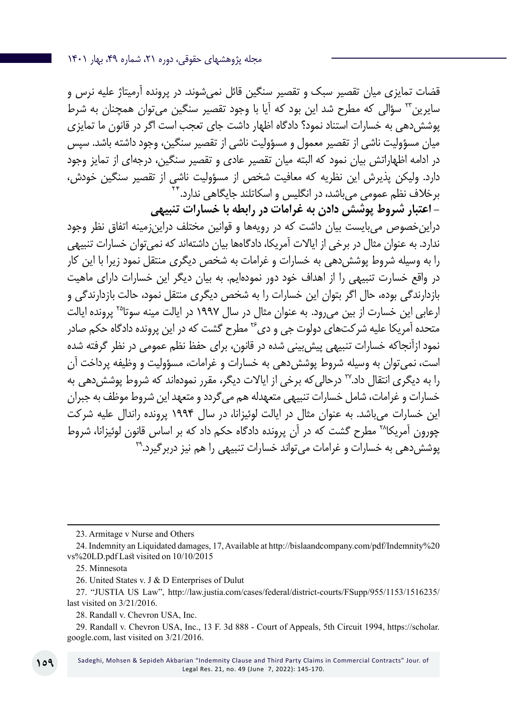قضات تمایزی میان تقصیر سبک و تقصیر سنگین قائل نمیشوند. در پرونده آرمیتاژ علیه نرس و سایرین<sup>۲۳</sup> سؤالی که مطرح شد این بود که آیا با وجود تقصیر سنگین میتوان همچنان به شرط پوششدهی به خسارات استناد نمود؟ دادگاه اظهار داشت جای تعجب است اگر در قانون ما تمایزی میان مسؤولیت ناشی از تقصیر معمول و مسؤولیت ناشی از تقصیر سنگین، وجود داشته باشد. سپس در ادامه اظهاراتش بیان نمود که البته میان تقصیر عادی و تقصیر سنگین، درجهای از تمایز وجود دارد. ولیکن پذیرش این نظریه که معافیت شخص از مسؤولیت ناشی از تقصیر سنگین خودش، برخلاف نظم عمومی می<sup>ر</sup>باشد، در انگلیس و اسکاتلند جایگاهی ندارد.<sup>۴</sup>

**- اعتبار شروط پوشش دادن به غرامات در رابطه با خسارات تنبیهی** دراینخصوص میبایست بیان داشت که در رویهها و قوانین مختلف دراینزمینه اتفاق نظر وجود ندارد. به عنوان مثال در برخی از ایاالت آمریکا، دادگاهها بیان داشتهاند که نمیتوان خسارات تنبیهی را به وسیله شروط پوششدهی به خسارات و غرامات به شخص دیگری منتقل نمود زیرا با این کار در واقع خسارت تنبیهی را از اهداف خود دور نمودهایم. به بیان دیگر این خسارات دارای ماهیت بازدارندگی بوده، حال اگر بتوان این خسارات را به شخص دیگری منتقل نمود، حالت بازدارندگی و ارعابی این خسارت از بین میرود. به عنوان مثال در سال 1997 در ایالت مینه سوتا25 پرونده ایالت متحده آمریکا علیه شرکتهای دولوت جی و دی<sup>76</sup> مطرح گشت که در این پرونده دادگاه حکم صادر نمود ازآنجاکه خسارات تنبیهی پیشبینی شده در قانون، برای حفظ نظم عمومی در نظر گرفته شده است، نمیتوان به وسیله شروط پوششدهی به خسارات و غرامات، مسؤولیت و وظیفه پرداخت آن را به دیگری انتقال داد27. درحالیکه برخی از ایاالت دیگر، مقرر نمودهاند که شروط پوششدهی به خسارات و غرامات، شامل خسارات تنبیهی متعهدله هم میگردد و متعهد این شروط موظف به جبران این خسارات میباشد. به عنوان مثال در ایالت لوئیزانا، در سال 1994 پرونده راندال علیه شرکت چورون آمریکا28 مطرح گشت که در آن پرونده دادگاه حکم داد که بر اساس قانون لوئیزانا، شروط پوشش دهی به خسارات و غرامات می تواند خسارات تنبیهی را هم نیز دربرگیرد.<sup>۲۹</sup>

23. Armitage v Nurse and Others

<sup>24.</sup> Indemnity an Liquidated damages, 17, Available at http://bislaandcompany.com/pdf/Indemnity%20 vs%20LD.pdf Last visited on 10/10/2015

<sup>25</sup>. Minnesota

<sup>26.</sup> United States v. J & D Enterprises of Dulut

<sup>27. &</sup>quot;JUSTIA US Law", http://law.justia.com/cases/federal/district-courts/FSupp/955/1153/1516235/ last visited on 3/21/2016.

<sup>28.</sup> Randall v. Chevron USA, Inc.

<sup>29.</sup> Randall v. Chevron USA, Inc., 13 F. 3d 888 - Court of Appeals, 5th Circuit 1994, https://scholar. google.com, last visited on 3/21/2016.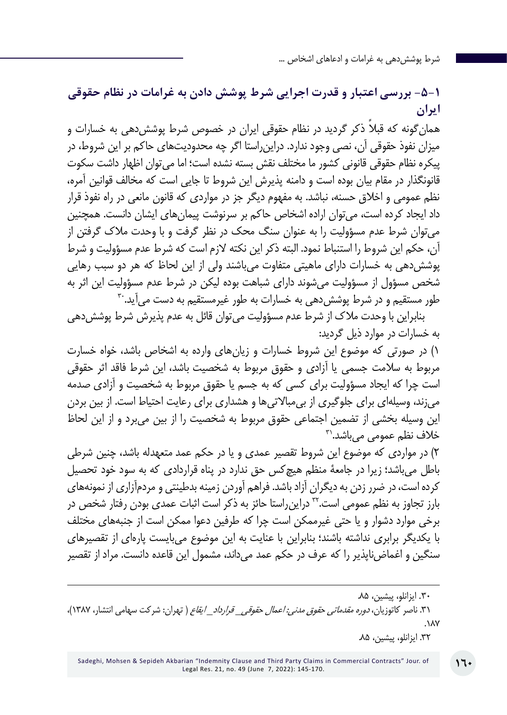# **-5-1 بررسی اعتبار و قدرت اجرایی شرط پوشش دادن به غرامات در نظام حقوقی ایران**

همان ً گونه که قبال ذکر گردید در نظام حقوقی ایران در خصوص شرط پوششدهی به خسارات و میزان نفوذ حقوقی آن، نصی وجود ندارد. دراینراستا اگر چه محدودیتهای حاکم بر این شروط، در پیکره نظام حقوقی قانونی کشور ما مختلف نقش بسته نشده است؛ اما میتوان اظهار داشت سکوت قانونگذار در مقام بیان بوده است و دامنه پذیرش این شروط تا جایی است که مخالف قوانین آمره، نظم عمومی و اخالق حسنه، نباشد. به مفهوم دیگر جز در مواردي كه قانون مانعي در راه نفوذ قرار داد ايجاد كرده است، میتوان اراده اشخاص حاكم بر سرنوشت پيمانهاي ايشان دانست. همچنین میتوان شرط عدم مسؤولیت را به عنوان سنگ محک در نظر گرفت و با وحدت مالک گرفتن از آن، حکم این شروط را استنباط نمود. البته ذکر این نکته الزم است که شرط عدم مسؤولیت و شرط پوششدهی به خسارات دارای ماهیتی متفاوت میباشند ولی از این لحاظ که هر دو سبب رهایی شخص مسؤول از مسؤولیت میشوند دارای شباهت بوده لیکن در شرط عدم مسؤولیت این اثر به طور مستقیم و در شرط پوشش دهی به خسارات به طور غیرمستقیم به دست می آید. ۳

بنابراین با وحدت مالک از شرط عدم مسؤولیت میتوان قائل به عدم پذیرش شرط پوششدهی به خسارات در موارد ذیل گردید:

۱( در صورتی که موضوع این شروط خسارات و زیانهای وارده به اشخاص باشد، خواه خسارت مربوط به سالمت جسمی یا آزادی و حقوق مربوط به شخصیت باشد، این شرط فاقد اثر حقوقی است چرا که ایجاد مسؤولیت برای کسی که به جسم یا حقوق مربوط به شخصیت و آزادی صدمه میزند، وسیلهای برای جلوگیری از بیمباالتیها و هشداری برای رعایت احتیاط است. از بین بردن این وسیله بخشی از تضمین اجتماعی حقوق مربوط به شخصیت را از بین میبرد و از این لحاظ  $5^{\prime\prime}$ خلاف نظم عمومے مے باشد.

۲( در مواردی که موضوع این شروط تقصیر عمدی و یا در حکم عمد متعهدله باشد، چنین شرطی باطل میباشد؛ زیرا در جامعۀ منظم هیچکس حق ندارد در پناه قراردادی که به سود خود تحصیل کرده است، در ضرر زدن به دیگران آزاد باشد. فراهم آوردن زمینه بدطینتی و مردمآزاری از نمونههای بارز تجاوز به نظم عمومی است32. دراینراستا حائز به ذکر است اثبات عمدی بودن رفتار شخص در برخی موارد دشوار و یا حتی غیرممکن است چرا که طرفین دعوا ممکن است از جنبههای مختلف با یکدیگر برابری نداشته باشند؛ بنابراین با عنایت به این موضوع میبایست پارهای از تقصیرهای سنگین و اغماضناپذیر را که عرف در حکم عمد میداند، مشمول این قاعده دانست. مراد از تقصیر

.31 ناصر کاتوزیان، دوره مقدماتی حقوق مدنی: اعمال حقوقی*\_* قرارداد*\_* ایقاع ) تهران: شرکت سهامی انتشار، ۱۳۸۷(، .۱۸۷

<sup>.</sup>30 ایزانلو، پیشین، .۸۵

<sup>.32</sup> ایزانلو، پیشین، .۸۵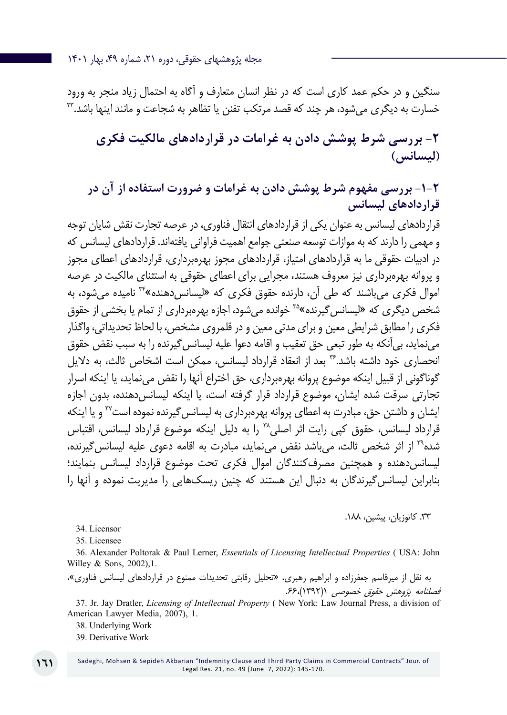سنگین و در حکم عمد کاری است که در نظر انسان متعارف و آگاه به احتمال زیاد منجر به ورود خسارت به دیگری میشود، هر چند که قصد مرتکب تفنن یا تظاهر به شجاعت و مانند اینها باشد33.

**-2 بررسی شرط پوشش دادن به غرامات در قراردادهای مالکیت فکری )لیسانس(**

**-1-2 بررسی مفهوم شرط پوشش دادن به غرامات و ضرورت استفاده از آن در قراردادهای لیسانس**

قراردادهای لیسانس به عنوان یکی از قراردادهای انتقال فناوری، در عرصه تجارت نقش شایان توجه و مهمی را دارند که به موازات توسعه صنعتی جوامع اهمیت فراوانی یافتهاند. قراردادهای لیسانس که در ادبیات حقوقی ما به قراردادهای امتیاز، قراردادهای مجوز بهرهبرداری، قراردادهای اعطای مجوز و پروانه بهرهبرداری نیز معروف هستند، مجرایی برای اعطای حقوقی به استثنای مالکیت در عرصه اموال فکری می باشند که طی آن، دارنده حقوق فکری که «لیسانس دهنده»۳۴ نامیده می شود، به شخص دیگری که «لیسانس گیرنده»۳° خوانده می شود، اجازه بهرهبرداری از تمام یا بخشی از حقوق فکری را مطابق شرایطی معین و برای مدتی معین و در قلمروی مشخص، با لحاظ تحدیداتی، واگذار می نماید، بی آنکه به طور تبعی حق تعقیب و اقامه دعوا علیه لیسانس گیرنده را به سبب نقض حقوق انحصاری خود داشته باشد36. بعد از انعقاد قرارداد لیسانس، ممکن است اشخاص ثالث، به دالیل گوناگونی از قبیل اینکه موضوع پروانه بهرهبرداری، حق اختراع آنها را نقض مینماید، یا اینکه اسرار تجارتی سرقت شده ایشان، موضوع قرارداد قرار گرفته است، یا اینکه لیسانسدهنده، بدون اجازه ایشان و داشتن حق، مبادرت به اعطای پروانه بهرهبرداری به لیسانس گیرنده نموده است<sup>۳۷</sup> و یا اینکه قرارداد لیسانس، حقوق کپی رایت اثر اصلی™ را به دلیل اینکه موضوع قرارداد لیسانس، اقتباس شده39 از اثر شخص ثالث، میباشد نقض مینماید، مبادرت به اقامه دعوی علیه لیسانسگیرنده، لیسانسدهنده و همچنین مصرفکنندگان اموال فکری تحت موضوع قرارداد لیسانس بنمایند؛ بنابراین لیسانسگیرندگان به دنبال این هستند که چنین ریسکهایی را مدیریت نموده و آنها را

34. Licensor

36. Alexander Poltorak & Paul Lerner, *Essentials of Licensing Intellectual Properties* ( USA: John Willey & Sons, 2002),1.

به نقل از میرقاسم جعفرزاده و ابراهیم رهبری، »تحلیل رقابتی تحدیدات ممنوع در قراردادهای لیسانس فناوری«، فصلنامه پژوهش حقوق خصوصی ۱)۱۳۹۲(.66،

37. Jr. Jay Dratler, *Licensing of Intellectual Property* ( New York: Law Journal Press, a division of American Lawyer Media, 2007), 1.

38. Underlying Work

39. Derivative Work

<sup>.33</sup> کاتوزیان، پیشین، .۱۸۸

<sup>35.</sup> Licensee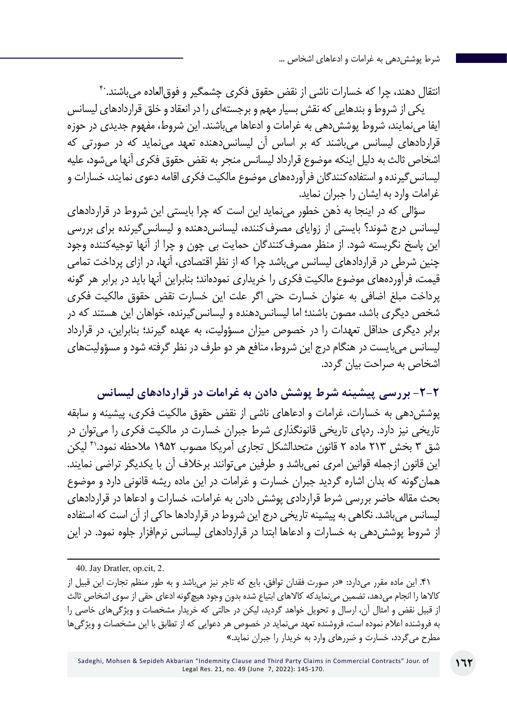انتقال دهند، چرا که خسارات ناشی از نقض حقوق فکری چشمگیر و فوق|لعاده می باشند.<sup>۴۰</sup> یکی از شروط و بندهایی که نقش بسیار مهم و برجستهای را در انعقاد و خلق قراردادهای لیسانس ایفا می نمایند، شروط پوشش دهی به غرامات و ادعاها می باشند. این شروط، مفهوم جدیدی در حوزه قراردادهای لیسانس میباشند که بر اساس آن لیسانسدهنده تعهد مینماید که در صورتی که اشخاص ثالث به دلیل اینکه موضوع قرارداد لیسانس منجر به نقض حقوق فکری آنها میشود، علیه لیسانسگیرنده و استفادهکنندگان فرآوردههای موضوع مالکیت فکری اقامه دعوی نمایند، خسارات و غرامات وارد به ایشان را جبران نماید.

سؤالی که در اینجا به ذهن خطور مینماید این است که چرا بایستی این شروط در قراردادهای لیسانس درج شوند؟ بایستی از زوایای مصرفکننده، لیسانس دهنده و لیسانس گیرنده برای بررسی این پاسخ نگریسته شود. از منظر مصرفکنندگان حمایت بی چون و چرا از آنها توجیهکننده وجود چنین شرطی در قراردادهای لیسانس میباشد چرا که از نظر اقتصادی، آنها، در ازای پرداخت تمامی قیمت، فرآوردههای موضوع مالکیت فکری را خریداری نمودهاند؛ بنابراین آنها باید در برابر هر گونه پرداخت مبلغ اضافی به عنوان خسارت حتی اگر علت این خسارت نقض حقوق مالکیت فکری شخص دیگری باشد، مصون باشند؛ اما لیسانس دهنده و لیسانس گیرنده، خواهان این هستند که در برابر دیگری حداقل تعهدات را در خصوص میزان مسؤولیت، به عهده گیرند؛ بنابراین، در قرارداد لیسانس میبایست در هنگام درج این شروط، منافع هر دو طرف در نظر گرفته شود و مسؤولیتهای اشخاص به صراحت بیان گردد.

**-2-2 بررسی پیشینه شرط پوشش دادن به غرامات در قراردادهای لیسانس** پوششدهی به خسارات، غرامات و ادعاهای ناشی از نقض حقوق مالکیت فکری، پیشینه و سابقه تاریخی نیز دارد. ردپای تاریخی قانونگذاری شرط جبران خسارت در مالکیت فکری را میتوان در شق ۳ بخش ۲۱۳ ماده ۲ قانون متحدالشکل تجاری آمریکا مصوب ۱۹۵۲ ملاحظه نمود.<sup>۴۱</sup> لیکن این قانون ازجمله قوانین امری نمیباشد و طرفین میتوانند برخالف آن با یکدیگر تراضی نمایند. همانگونه که بدان اشاره گردید جبران خسارت و غرامات در این ماده ریشه قانونی دارد و موضوع بحث مقاله حاضر بررسی شرط قراردادی پوشش دادن به غرامات، خسارات و ادعاها در قراردادهای لیسانس میباشد. نگاهی به پیشینه تاریخی درج این شروط در قراردادها حاکی از آن است که استفاده از شروط پوششدهی به خسارات و ادعاها ابتدا در قراردادهای لیسانس نرمافزار جلوه نمود. در این

.41 این ماده مقرر میدارد: »در صورت فقدان توافق، بایع که تاجر نیز میباشد و به طور منظم تجارت این قبیل از کاالها را انجام میدهد، تضمین مینمایدکه کاالهای ابتیاع شده بدون وجود هیچگونه ادعای حقی از سوی اشخاص ثالث از قبیل نقض و امثال آن، ارسال و تحویل خواهد گردید، لیکن در حالتی که خریدار مشخصات و ویژگیهای خاصی را به فروشنده اعالم نموده است، فروشنده تعهد مینماید در خصوص هر دعوایی که از تطابق با این مشخصات و ویژگیها مطرح میگردد، خسارت و ضررهای وارد به خریدار را جبران نماید.«

<sup>40.</sup> Jay Dratler, op.cit, 2.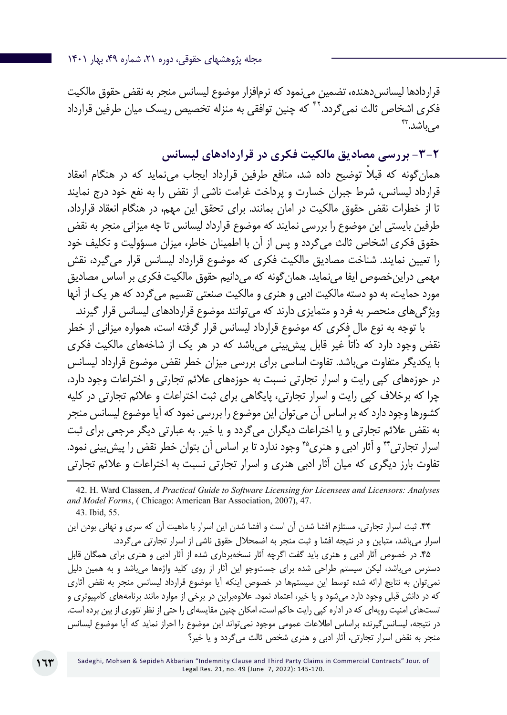قراردادها لیسانس دهنده، تضمین می،نمود که نرمافزار موضوع لیسانس منجر به نقض حقوق مالکیت فکری اشخاص ثالث نمی *گ*ردد. <sup>۲۲</sup> که چنین توافقی به منزله تخصیص ریسک میان طرفین قرارداد مے باشد.<sup>4۳</sup>

**-3-2 بررسی مصادیق مالکیت فکری در قراردادهای لیسانس**

همان ً گونه که قبال توضیح داده شد، منافع طرفین قرارداد ایجاب مینماید که در هنگام انعقاد قرارداد لیسانس، شرط جبران خسارت و پرداخت غرامت ناشی از نقض را به نفع خود درج نمایند تا از خطرات نقض حقوق مالکیت در امان بمانند. برای تحقق این مهم، در هنگام انعقاد قرارداد، طرفین بایستی این موضوع را بررسی نمایند که موضوع قرارداد لیسانس تا چه میزانی منجر به نقض حقوق فکری اشخاص ثالث میگردد و پس از آن با اطمینان خاطر، میزان مسؤولیت و تکلیف خود را تعیین نمایند. شناخت مصادیق مالکیت فکری که موضوع قرارداد لیسانس قرار میگیرد، نقش مهمی دراینخصوص ایفا مینماید. همانگونه که میدانیم حقوق مالکیت فکری بر اساس مصادیق مورد حمایت، به دو دسته مالکیت ادبی و هنری و مالکیت صنعتی تقسیم میگردد که هر یک از آنها ویژگیهای منحصر به فرد و متمایزی دارند که میتوانند موضوع قراردادهای لیسانس قرار گیرند.

با توجه به نوع مال فکری که موضوع قرارداد لیسانس قرار گرفته است، همواره میزانی از خطر ً نقض وجود دارد که ذاتا غیر قابل پیشبینی میباشد که در هر یک از شاخههای مالکیت فکری با یکدیگر متفاوت میباشد. تفاوت اساسی برای بررسی میزان خطر نقض موضوع قرارداد لیسانس در حوزههای کپی رایت و اسرار تجارتی نسبت به حوزههای عالئم تجارتی و اختراعات وجود دارد، چرا که برخالف کپی رایت و اسرار تجارتی، پایگاهی برای ثبت اختراعات و عالئم تجارتی در کلیه کشورها وجود دارد که بر اساس آن میتوان این موضوع را بررسی نمود که آیا موضوع لیسانس منجر به نقض عالئم تجارتی و یا اختراعات دیگران میگردد و یا خیر. به عبارتی دیگر مرجعی برای ثبت اسرار تجارتی\*\* و آثار ادبی و هنری<sup>۴</sup>ه وجود ندارد تا بر اساس آن بتوان خطر نقض را پیش بینی نمود. تفاوت بارز دیگری که میان آثار ادبی هنری و اسرار تجارتی نسبت به اختراعات و عالئم تجارتی

42. H. Ward Classen, *A Practical Guide to Software Licensing for Licensees and Licensors: Analyses and Model Forms*, ( Chicago: American Bar Association, 2007), 47. 43. Ibid, 55.

.44 ثبت اسرار تجارتی، مستلزم افشا شدن آن است و افشا شدن این اسرار با ماهیت آن که سری و نهانی بودن این اسرار میباشد، متباین و در نتیجه افشا و ثبت منجر به اضمحالل حقوق ناشی از اسرار تجارتی میگردد.

.45 در خصوص آثار ادبی و هنری باید گفت اگرچه آثار نسخهبرداری شده از آثار ادبی و هنری برای همگان قابل دسترس میباشد، لیکن سیستم طراحی شده برای جستوجو این آثار از روی کلید واژهها میباشد و به همین دلیل نمیتوان به نتایج ارائه شده توسط این سیستمها در خصوص اینکه آیا موضوع قرارداد لیسانس منجر به نقض آثاری که در دانش قبلی وجود دارد میشود و یا خیر، اعتماد نمود. عالوهبراین در برخی از موارد مانند برنامههای کامپیوتری و تستهای امنیت رویهای که در اداره کپی رایت حاکم است، امکان چنین مقایسهای را حتی از نظر تئوری از بین برده است. در نتیجه، لیسانسگیرنده براساس اطالعات عمومی موجود نمیتواند این موضوع را احراز نماید که آیا موضوع لیسانس منجر به نقض اسرار تجارتی، آثار ادبی و هنری شخص ثالث میگردد و یا خیر؟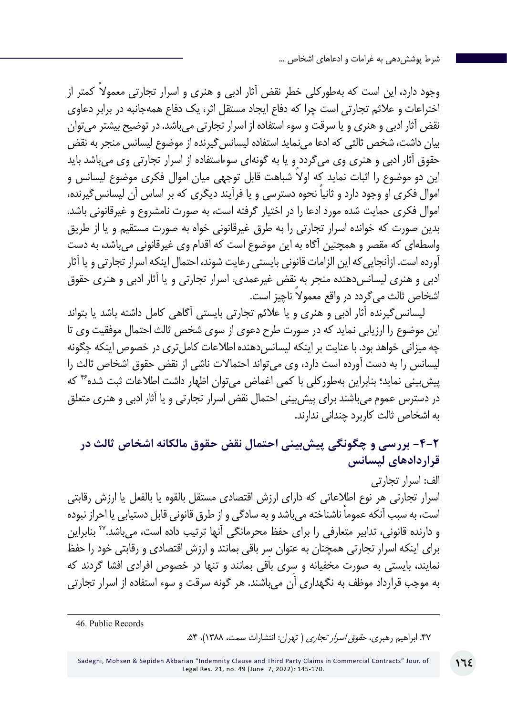وجود دارد، این است که به طورکلی خطر نقض آثار ادبی و هنری و اسرار تجارتی معمولاً کمتر از اختراعات و عالئم تجارتی است چرا که دفاع ایجاد مستقل اثر، یک دفاع همهجانبه در برابر دعاوی نقض آثار ادبی و هنری و یا سرقت و سوء استفاده از اسرار تجارتی میباشد. در توضیح بیشتر میتوان بیان داشت، شخص ثالثی که ادعا مینماید استفاده لیسانسگیرنده از موضوع لیسانس منجر به نقض حقوق آثار ادبی و هنری وی میگردد و یا به گونهای سوءاستفاده از اسرار تجارتی وی میباشد باید ً این دو موضوع را اثبات نماید که اوال شباهت قابل توجهی میان اموال فکری موضوع لیسانس و ً اموال فکری او وجود دارد و ثانیا نحوه دسترسی و یا فرآیند دیگری که بر اساس آن لیسانسگیرنده، اموال فکری حمایت شده مورد ادعا را در اختیار گرفته است، به صورت نامشروع و غیرقانونی باشد. بدین صورت که خوانده اسرار تجارتی را به طرق غیرقانونی خواه به صورت مستقیم و یا از طریق واسطهای که مقصر و همچنین آگاه به این موضوع است که اقدام وی غیرقانونی میباشد، به دست آورده است. ازآنجاییکه این الزامات قانونی بایستی رعایت شوند، احتمال اینکه اسرار تجارتی و یا آثار ادبی و هنری لیسانسدهنده منجر به نقض غیرعمدی، اسرار تجارتی و یا آثار ادبی و هنری حقوق اشخاص ثالث می ً گردد در واقع معموال ناچیز است.

لیسانسگیرنده آثار ادبی و هنری و یا عالئم تجارتی بایستی آگاهی کامل داشته باشد یا بتواند این موضوع را ارزیابی نماید که در صورت طرح دعوی از سوی شخص ثالث احتمال موفقیت وی تا چه میزانی خواهد بود. با عنایت بر اینکه لیسانس دهنده اطلاعات کامل تری در خصوص اینکه چگونه لیسانس را به دست آورده است دارد، وی میتواند احتماالت ناشی از نقض حقوق اشخاص ثالث را پیش بینی نماید؛ بنابراین بهطورکلی با کمی اغماض می توان اظهار داشت اطلاعات ثبت شده<sup>۴۶</sup> که در دسترس عموم میباشند برای پیشبینی احتمال نقض اسرار تجارتی و یا آثار ادبی و هنری متعلق به اشخاص ثالث کاربرد چندانی ندارند.

### **-4-2 بررسی و چگونگی پیشبینی احتمال نقض حقوق مالکانه اشخاص ثالث در قراردادهای لیسانس**

الف: اسرار تجارتی اسرار تجارتی هر نوع اطالعاتی که دارای ارزش اقتصادی مستقل بالقوه یا بالفعل یا ارزش رقابتی ً است، به سبب آنکه عموما ناشناخته میباشد و به سادگی و از طرق قانونی قابل دستیابی یا احراز نبوده و دارنده قانونی، تدابیر متعارفی را برای حفظ محرمانگی آنها ترتیب داده است، میباشد47. بنابراین ِ برای اینکه اسرار تجارتی همچنان به عنوان سر باقی بمانند و ارزش اقتصادی و رقابتی خود را حفظ ِ نمایند، بایستی به صورت مخفیانه و سری باقی بمانند و تنها در خصوص افرادی افشا گردند که به موجب قرارداد موظف به نگهداری آن میباشند. هر گونه سرقت و سوء استفاده از اسرار تجارتی

46. Public Records

.47 ابراهیم رهبری، حقوق اسرار تجاری ) تهران: انتشارات سمت، ۱۳۸۸(، .۵۴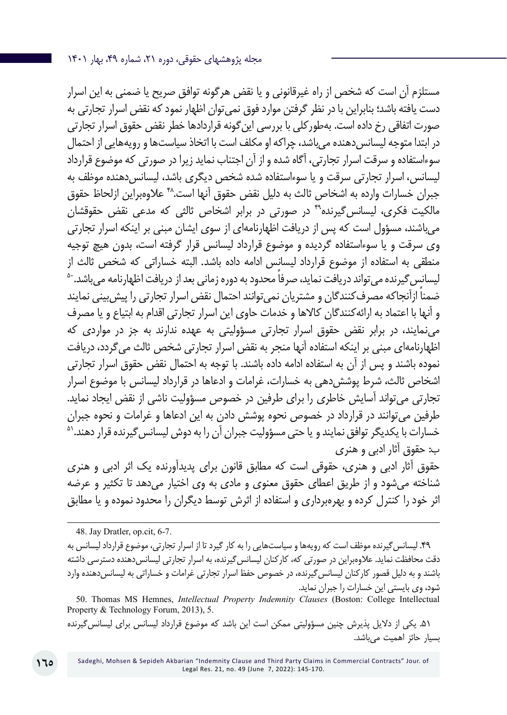مستلزم آن است که شخص از راه غیرقانونی و یا نقض هرگونه توافق صریح یا ضمنی به این اسرار دست یافته باشد؛ بنابراین با در نظر گرفتن موارد فوق نمیتوان اظهار نمود که نقض اسرار تجارتی به صورت اتفاقی رخ داده است. بهطورکلی با بررسی اینگونه قراردادها خطر نقض حقوق اسرار تجارتی در ابتدا متوجه لیسانس دهنده می باشد، چراکه او مکلف است با اتخاذ سیاستها و رویههایی از احتمال سوءاستفاده و سرقت اسرار تجارتی، آگاه شده و از آن اجتناب نماید زیرا در صورتی که موضوع قرارداد لیسانس، اسرار تجارتی سرقت و یا سوءاستفاده شده شخص دیگری باشد، لیسانس دهنده موظف به جبران خسارات وارده به اشخاص ثالث به دلیل نقض حقوق آنها است48. عالوهبراین ازلحاظ حقوق مالکیت فکری، لیسانس گیرنده<sup>۴۹</sup> در صورتی در برابر اشخاص ثالثی که مدعی نقض حقوقشان میباشند، مسؤول است که پس از دریافت اظهارنامهای از سوی ایشان مبنی بر اینکه اسرار تجارتی وی سرقت و یا سوءاستفاده گردیده و موضوع قرارداد لیسانس قرار گرفته است، بدون هیچ توجیه منطقی به استفاده از موضوع قرارداد لیسانس ادامه داده باشد. البته خساراتی که شخص ثالث از<br>لیسانس گیرنده می تواند دریافت نماید، صرفاً محدود به دوره زمانی بعد از دریافت اظهارنامه می باشد. <sup>۵</sup> ً ضمنا ازآنجاکه مصرفکنندگان و مشتریان نمیتوانند احتمال نقض اسرار تجارتی را پیشبینی نمایند و آنها با اعتماد به ارائهکنندگان کاالها و خدمات حاوی این اسرار تجارتی اقدام به ابتیاع و یا مصرف مینمایند، در برابر نقض حقوق اسرار تجارتی مسؤولیتی به عهده ندارند به جز در مواردی که اظهارنامهای مبنی بر اینکه استفاده آنها منجر به نقض اسرار تجارتی شخص ثالث میگردد، دریافت نموده باشند و پس از آن به استفاده ادامه داده باشند. با توجه به احتمال نقض حقوق اسرار تجارتی اشخاص ثالث، شرط پوششدهی به خسارات، غرامات و ادعاها در قرارداد لیسانس با موضوع اسرار تجارتی میتواند آسایش خاطری را برای طرفین در خصوص مسؤولیت ناشی از نقض ایجاد نماید. طرفین می توانند در قرارداد در خصوص نحوه پوشش دادن به این ادعاها و غرامات و نحوه جبران<br>خسارات با یکدیگر توافق نمایند و یا حتی مسؤولیت جبران آن را به دوش لیسانس گیرنده قرار دهند.<sup>۵</sup> ب: حقوق آثار ادبی و هنری

حقوق آثار ادبی و هنری، حقوقی است که مطابق قانون برای پدیدآورنده یک اثر ادبی و هنری شناخته میشود و از طریق اعطای حقوق معنوی و مادی به وی اختیار میدهد تا تکثیر و عرضه اثر خود را کنترل کرده و بهرهبرداری و استفاده از اثرش توسط دیگران را محدود نموده و یا مطابق

48. Jay Dratler, op.cit, 6-7.

.49 لیسانسگیرنده موظف است که رویهها و سیاستهایی را به کار گیرد تا از اسرار تجارتی، موضوع قرارداد لیسانس به دقت محافظت نماید. عالوهبراین در صورتی که، کارکنان لیسانسگیرنده، به اسرار تجارتی لیسانسدهنده دسترسی داشته باشند و به دلیل قصور کارکنان لیسانسگیرنده، در خصوص حفظ اسرار تجارتی غرامات و خساراتی به لیسانسدهنده وارد شود، وی بایستی این خسارات را جبران نماید.

50. Thomas MS Hemnes, *Intellectual Property Indemnity Clauses* (Boston: College Intellectual Property & Technology Forum, 2013), 5.

.51 یکی از دالیل پذیرش چنین مسؤولیتی ممکن است این باشد که موضوع قرارداد لیسانس برای لیسانسگیرنده بسیار حائز اهمیت میباشد.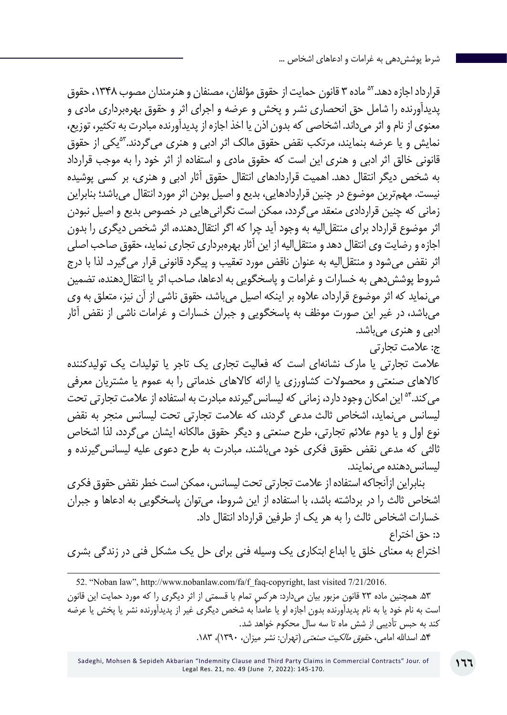قرارداد اجازه دهد. <sup>۵</sup>° ماده ۳ قانون حمایت از حقوق مؤلفان، مصنفان و هنرمندان مصوب ۱۳۴۸، حقوق پدیدآورنده را شامل حق انحصاری نشر و پخش و عرضه و اجرای اثر و حقوق بهرهبرداری مادی و معنوی از نام و اثر میداند. اشخاصی که بدون اذن یا اخذ اجازه از پدیدآورنده مبادرت به تکثیر، توزیع، نمایش و یا عرضه بنمایند، مرتکب نقض حقوق مالک اثر ادبی و هنری می *گ*ردند.<sup>۵۳</sup>یکی از حقوق قانونی خالق اثر ادبی و هنری این است که حقوق مادی و استفاده از اثر خود را به موجب قرارداد به شخص دیگر انتقال دهد. اهمیت قراردادهای انتقال حقوق آثار ادبی و هنری، بر کسی پوشیده نیست. مهمترین موضوع در چنین قراردادهایی، بدیع و اصیل بودن اثر مورد انتقال میباشد؛ بنابراین زمانی که چنین قراردادی منعقد میگردد، ممکن است نگرانیهایی در خصوص بدیع و اصیل نبودن اثر موضوع قرارداد برای منتقل|لیه به وجود آید چرا که اگر انتقالدهنده، اثر شخص دیگری را بدون اجازه و رضایت وی انتقال دهد و منتقل الیه از این آثار بهرهبرداری تجاری نماید، حقوق صاحب اصلی اثر نقض می شود و منتقل الیه به عنوان ناقض مورد تعقیب و پیگرد قانونی قرار می گیرد. لذا با درج شروط پوششدهی به خسارات و غرامات و پاسخگویی به ادعاها، صاحب اثر یا انتقالدهنده، تضمین مینماید که اثر موضوع قرارداد، عالوه بر اینکه اصیل میباشد، حقوق ناشی از آن نیز، متعلق به وی میباشد، در غیر این صورت موظف به پاسخگویی و جبران خسارات و غرامات ناشی از نقض آثار ادبی و هنری می<sub>،</sub>باشد. ج: عالمت تجارتی عالمت تجارتی یا مارک نشانهای است که فعالیت تجاری یک تاجر یا تولیدات یک تولیدکننده

کاالهای صنعتی و محصوالت کشاورزی یا ارائه کاالهای خدماتی را به عموم یا مشتریان معرفی می کند.<sup>۵۴</sup> این امکان وجود دارد، زمانی که لیسانس گیرنده مبادرت به استفاده از علامت تجارتی تحت لیسانس مینماید، اشخاص ثالث مدعی گردند، که عالمت تجارتی تحت لیسانس منجر به نقض نوع اول و یا دوم عالئم تجارتی، طرح صنعتی و دیگر حقوق مالکانه ایشان میگردد، لذا اشخاص ثالثی که مدعی نقض حقوق فکری خود میباشند، مبادرت به طرح دعوی علیه لیسانسگیرنده و لیسانس دهنده می نمایند.

بنابراین ازآنجاکه استفاده از عالمت تجارتی تحت لیسانس، ممکن است خطر نقض حقوق فکری اشخاص ثالث را در برداشته باشد، با استفاده از این شروط، میتوان پاسخگویی به ادعاها و جبران خسارات اشخاص ثالث را به هر یک از طرفین قرارداد انتقال داد. د: حق اختراع

اختراع به معنای خلق یا ابداع ابتکاری یک وسیله فنی برای حل یک مشکل فنی در زندگی بشری

<sup>52. &</sup>quot;Noban law", http://www.nobanlaw.com/fa/f\_faq-copyright, last visited 7/21/2016. .53 همچنین ماده 23 قانون مزبور بیان میدارد: هرکس تمام یا قسمتی از اثر دیگری را که مورد حمایت این قانون است به نام خود یا به نام پدیدآورنده بدون اجازه او یا عامداً به شخص دیگری غیر از پدیدآورنده نشر یا پخش یا عرضه کند به حبس تأدیبی از شش ماه تا سه سال محکوم خواهد شد. ۵۴. اسدالله امام*ی، حقوق مالکیت صنعتی* (تهران: نشر میزان، ۱۳۹۰)، ۱۸۳.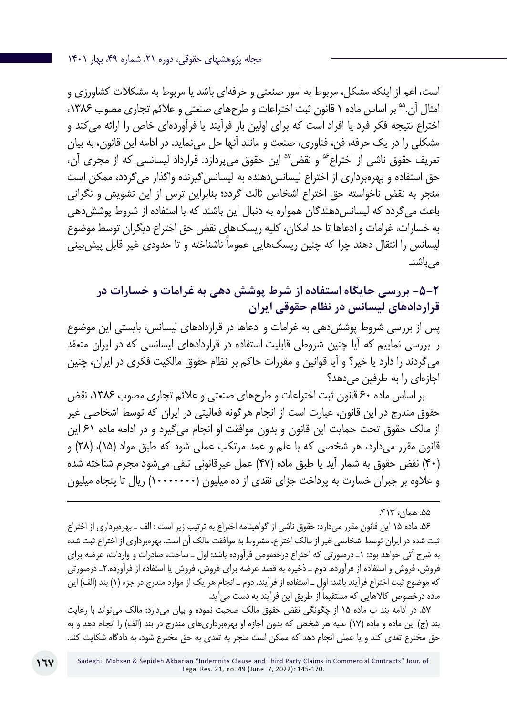است، اعم از اینکه مشکل، مربوط به امور صنعتی و حرفهای باشد یا مربوط به مشکالت کشاورزی و امثال آن.<sup>۵۵</sup> بر اساس ماده ۱ قانون ثبت اختراعات و طرحهای صنعتی و علائم تجاری مصوب ۱۳۸۶، اختراع نتيجه فكر فرد يا افراد است كه براي اولين بار فرآيند يا فرآوردهاي خاص را ارائه ميكند و مشكلي را در يك حرفه، فن، فناوري، صنعت و مانند آنها حل مينمايد. در ادامه این قانون، به بیان تعریف حقوق ناشی از اختراع<sup>66</sup> و نقض<sup>۵۶</sup> این حقوق میپردازد. قرارداد لیسانسی که از مجری آن، حق استفاده و بهرهبرداری از اختراع لیسانس دهنده به لیسانس گیرنده واگذار می گردد، ممکن است منجر به نقض ناخواسته حق اختراع اشخاص ثالث گردد؛ بنابراین ترس از این تشویش و نگرانی باعث می گردد که لیسانس دهندگان همواره به دنبال این باشند که با استفاده از شروط پوشش دهی به خسارات، غرامات و ادعاها تا حد امکان، کلیه ریسکهای نقض حق اختراع دیگران توسط موضوع لیسانس را انتقال دهند چرا که چنین ریسک هایی عموماً ناشناخته و تا حدودی غیر قابل پیش بینی مے باشد.

**-5-2 بررسی جایگاه استفاده از شرط پوشش دهی به غرامات و خسارات در قراردادهای لیسانس در نظام حقوقی ایران**

پس از بررسی شروط پوششدهی به غرامات و ادعاها در قراردادهای لیسانس، بایستی این موضوع را بررسی نماییم که آیا چنین شروطی قابلیت استفاده در قراردادهای لیسانسی که در ایران منعقد میگردند را دارد یا خیر؟ و آیا قوانین و مقررات حاکم بر نظام حقوق مالکیت فکری در ایران، چنین اجازهای را به طرفین میدهد؟

بر اساس ماده ۶۰ قانون ثبت اختراعات و طرحهای صنعتی و علائم تجاری مصوب ۱۳۸۶، نقض حقوق مندرج در اين قانون، عبارت است از انجام هرگونه فعاليتي در ايران كه توسط اشخاصي غير از مالك حقوق تحت حمايت اين قانون و بدون موافقت او انجام ميگيرد و در ادامه ماده 61 این قانون مقرر می دارد، هر شخصی كه با علم و عمد مرتكب عملی شود كه طبق مواد (۱۵)، (۲۸) و )40( نقض حقوق به شمار آيد يا طبق ماده )47( عمل غيرقانوني تلقي میشود مجرم شناخته شده و عالوه بر جبران خسارت به پرداخت جزاي نقدي از ده ميليون )10000000( ريال تا پنجاه ميليون

.56 ماده 15 این قانون مقرر میدارد: حقوق ناشي از گواهينامه اختراع به ترتيب زير است : الف ـ بهرهبرداري از اختراع ثبت شده در ايران توسط اشخاصي غير از مالك اختراع، مشروط به موافقت مالك آن است. بهرهبرداري از اختراع ثبت شده به شرح آتي خواهد بود: 1ـ درصورتي كه اختراع درخصوص فرآورده باشد: اول ـ ساخت، صادرات و واردات، عرضه براي فروش، فروش و استفاده از فرآورده. دوم ـ ذخيره به قصد عرضه براي فروش، فروش يا استفاده از فرآورده2.ـ درصورتي كه موضوع ثبت اختراع فرآيند باشد: اول ــ استفاده از فرآيند. دوم ــ انجام هر يک از موارد مندرج در جزء (١) بند (الف) اين ماده درخصوص كالاهايي كه مستقيما از طريق اين فرآيند به دست مي[يد.

.57 در ادامه بند ب ماده 15 از چگونگی نقض حقوق مالک صحبت نموده و بیان میدارد: مالك ميتواند با رعايت بند (ج) اين ماده و ماده (١٧) عليه هر شخص كه بدون اجازه او بهرهبرداريهاي مندرج در بند (الف) را انجام دهد و به حق مخترع تعدي كند و يا عملي انجام دهد كه ممكن است منجر به تعدي به حق مخترع شود، به دادگاه شكايت كند.

<sup>.55</sup> همان، .۴۱۳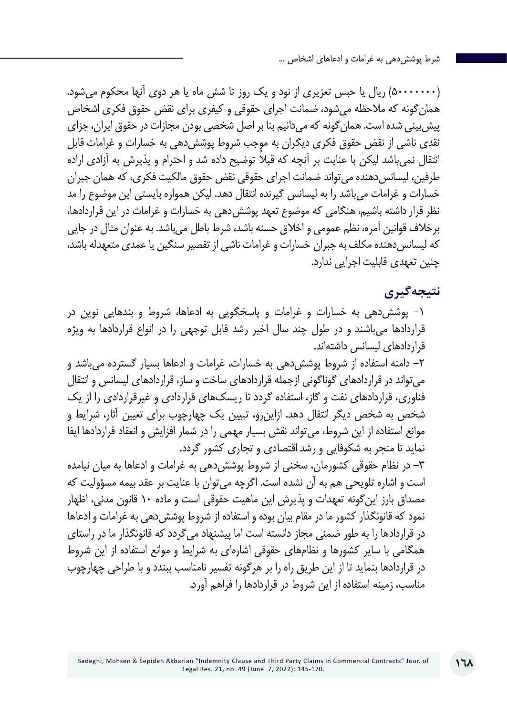)۵۰۰۰۰۰۰۰( ريال يا حبس تعزيري از نود و يك روز تا شش ماه يا هر دوي آنها محكوم ميشود. همانگونه که مالحظه میشود، ضمانت اجرای حقوقی و کیفری برای نقض حقوق فکری اشخاص پیشبینی شده است. همانگونه که میدانیم بنا بر اصل شخصی بودن مجازات در حقوق ایران، جزای نقدی ناشی از نقض حقوق فکری دیگران به موجب شروط پوششدهی به خسارات و غرامات قابل انتقال نمی باشد لیکن با عنایت بر آنچه که قبلاً توضیح داده شد و احترام و پذیرش به آزادی اراده طرفین، لیسانس دهنده می تواند ضمانت اجرای حقوقی نقض حقوق مالکیت فکری، که همان جبران خسارات و غرامات میباشد را به لیسانس گیرنده انتقال دهد. لیکن همواره بایستی این موضوع را مد نظر قرار داشته باشیم، هنگامی که موضوع تعهد پوششدهی به خسارات و غرامات در این قراردادها، برخالف قوانین آمره، نظم عمومی و اخالق حسنه باشد، شرط باطل میباشد. به عنوان مثال در جایی که لیسانس دهنده مکلف به جبران خسارات و غرامات ناشی از تقصیر سنگین یا عمدی متعهدله باشد، چنین تعهدی قابلیت اجرایی ندارد.

### **نتیجهگیری**

-۱ پوششدهی به خسارات و غرامات و پاسخگویی به ادعاها، شروط و بندهایی نوین در قراردادها میباشند و در طول چند سال اخیر رشد قابل توجهی را در انواع قراردادها به ویژه قراردادهای لیسانس داشتهاند.

-۲ دامنه استفاده از شروط پوششدهی به خسارات، غرامات و ادعاها بسیار گسترده میباشد و میتواند در قراردادهای گوناگونی ازجمله قراردادهای ساخت و ساز، قراردادهای لیسانس و انتقال فناوری، قراردادهای نفت و گاز، استفاده گردد تا ریسکهای قراردادی و غیرقراردادی را از یک شخص به شخص دیگر انتقال دهد. ازاینرو، تبیین یک چهارچوب برای تعیین آثار، شرایط و موانع استفاده از این شروط، میتواند نقش بسیار مهمی را در شمار افزایش و انعقاد قراردادها ایفا نماید تا منجر به شکوفایی و رشد اقتصادی و تجاری کشور گردد.

-۳ در نظام حقوقی کشورمان، سخنی از شروط پوششدهی به غرامات و ادعاها به میان نیامده است و اشاره تلویحی هم به آن نشده است. اگرچه میتوان با عنایت بر عقد بیمه مسؤولیت که مصداق بارز اینگونه تعهدات و پذیرش این ماهیت حقوقی است و ماده 10 قانون مدنی، اظهار نمود که قانونگذار کشور ما در مقام بیان بوده و استفاده از شروط پوششدهی به غرامات و ادعاها در قراردادها را به طور ضمنی مجاز دانسته است اما پیشنهاد میگردد که قانونگذار ما در راستای همگامی با سایر کشورها و نظامهای حقوقی اشارهای به شرایط و موانع استفاده از این شروط در قراردادها بنماید تا از این طریق راه را بر هرگونه تفسیر نامناسب ببندد و با طراحی چهارچوب مناسب، زمینه استفاده از این شروط در قراردادها را فراهم آورد.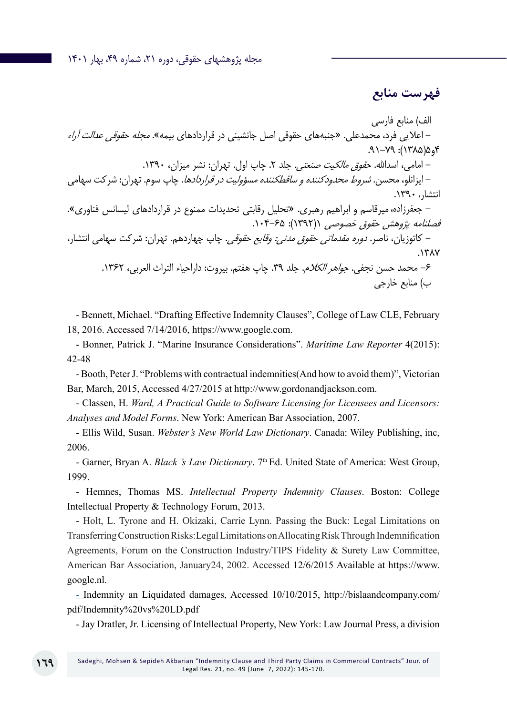### **فهرست منابع**

الف) منابع فارسی – اعلایی فرد، محمدعلی. «جنبههای حقوقی اصل جانشینی در قراردادهای بیمه». *مجله حقوقی عدالت آراء* ۴و۵)۱۳۸۵(: .91-79 - امامی، اسدالله. ح*قوق مالکیت صنعتی.* جلد ۲. چاپ اول. تهران: نشر میزان، ۱۳۹۰. - ایزانلو، محسن. شروط محدودکننده و ساقطکننده مسؤولیت در قراردادها. چاپ سوم. تهران: شرکت سهامی انتشار، .۱۳۹۰ - جعفرزاده،میرقاسم و ابراهیم رهبری. »تحلیل رقابتی تحدیدات ممنوع در قراردادهای لیسانس فناوری«. فصلنامه پژوهش حقوق خصوصی (۱۳۹۲): ۶۵-۱۰۴. - کاتوزیان، ناصر. دوره مقدماتی حقوق مدنی: وقایع حقوقی. چاپ چهاردهم. تهران: شرکت سهامی انتشار، .۱۳۸۷ -6 محمد حسن نجفی. جواهر الکالم. جلد .39 چاپ هفتم. بیروت: داراحیاء التراث العربی، .۱۳۶۲ ب( منابع خارجی

- Bennett, Michael. "Drafting Effective Indemnity Clauses", College of Law CLE, February 18, 2016. Accessed 7/14/2016, https://www.google.com.

- Bonner, Patrick J. "Marine Insurance Considerations". *Maritime Law Reporter* 4(2015): 42-48

- Booth, Peter J. "Problems with contractual indemnities(And how to avoid them)", Victorian Bar, March, 2015, Accessed 4/27/2015 at http://www.gordonandjackson.com.

- Classen, H. *Ward, A Practical Guide to Software Licensing for Licensees and Licensors: Analyses and Model Forms*. New York: American Bar Association, 2007.

- Ellis Wild, Susan. *Webster's New World Law Dictionary*. Canada: Wiley Publishing, inc, 2006.

- Garner, Bryan A. *Black 's Law Dictionary*. 7<sup>th</sup> Ed. United State of America: West Group, 1999.

- Hemnes, Thomas MS. *Intellectual Property Indemnity Clauses*. Boston: College Intellectual Property & Technology Forum, 2013.

- Holt, L. Tyrone and H. Okizaki, Carrie Lynn. Passing the Buck: Legal Limitations on Transferring Construction Risks:Legal Limitations on Allocating Risk Through Indemnification Agreements, Forum on the Construction Industry/TIPS Fidelity & Surety Law Committee, American Bar Association, January24, 2002. Accessed 12/6/2015 Available at https://www. google.nl.

- Indemnity an Liquidated damages, Accessed 10/10/2015, http://bislaandcompany.com/ pdf/Indemnity%20vs%20LD.pdf

- Jay Dratler, Jr. Licensing of Intellectual Property, New York: Law Journal Press, a division